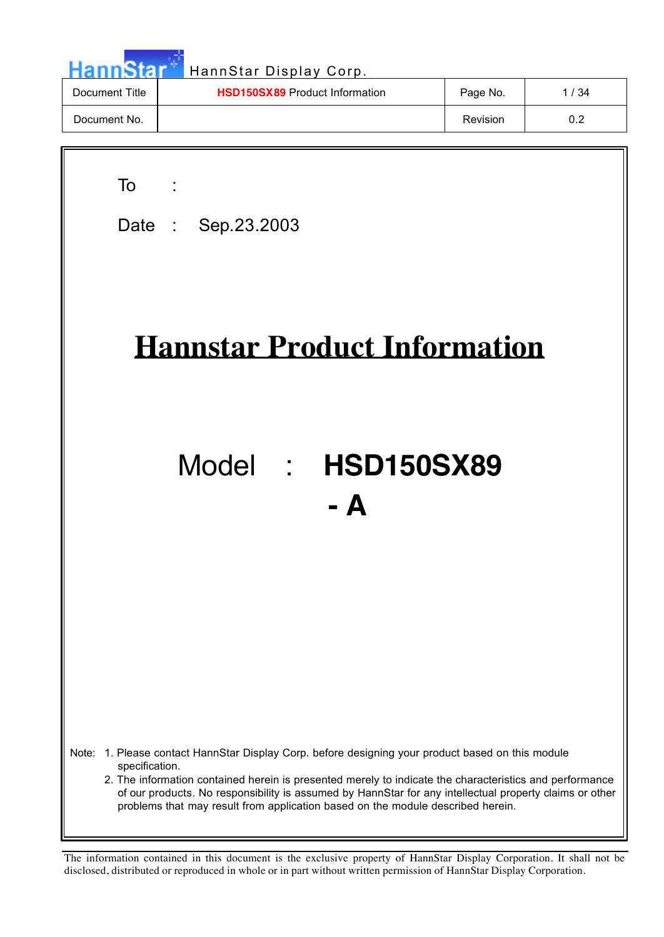| <b>HannStar</b> | HannStar Display Corp.                |          |      |
|-----------------|---------------------------------------|----------|------|
| Document Title  | <b>HSD150SX89</b> Product Information | Page No. | 1/34 |
| Document No.    |                                       | Revision | 0.2  |

a pr

| To<br>Date: Sep. 23.2003                                                                                                                                                                                                                                                                                                                                                                                                        |
|---------------------------------------------------------------------------------------------------------------------------------------------------------------------------------------------------------------------------------------------------------------------------------------------------------------------------------------------------------------------------------------------------------------------------------|
| <b>Hannstar Product Information</b>                                                                                                                                                                                                                                                                                                                                                                                             |
| Model : HSD150SX89<br>$-$ A                                                                                                                                                                                                                                                                                                                                                                                                     |
|                                                                                                                                                                                                                                                                                                                                                                                                                                 |
| 1. Please contact HannStar Display Corp. before designing your product based on this module<br>Note:<br>specification.<br>2. The information contained herein is presented merely to indicate the characteristics and performance<br>of our products. No responsibility is assumed by HannStar for any intellectual property claims or other<br>problems that may result from application based on the module described herein. |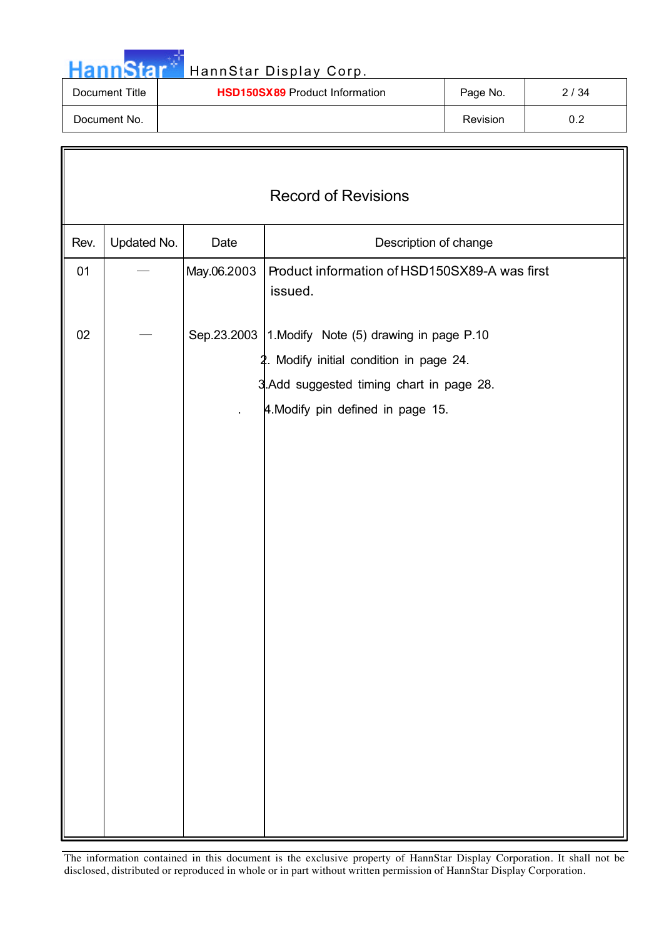

| Document Title | <b>HSD150SX89</b> Product Information | Page No. | 2 / 34 |
|----------------|---------------------------------------|----------|--------|
| Document No.   |                                       | Revision | ◡.∠    |

|      | <b>Record of Revisions</b> |             |                                                                                                                                                                                    |  |  |
|------|----------------------------|-------------|------------------------------------------------------------------------------------------------------------------------------------------------------------------------------------|--|--|
| Rev. | Updated No.                | Date        | Description of change                                                                                                                                                              |  |  |
| 01   |                            | May.06.2003 | Product information of HSD150SX89-A was first<br>issued.                                                                                                                           |  |  |
| 02   |                            |             | Sep.23.2003   1. Modify Note (5) drawing in page P.10<br>2. Modify initial condition in page 24.<br>3. Add suggested timing chart in page 28.<br>4. Modify pin defined in page 15. |  |  |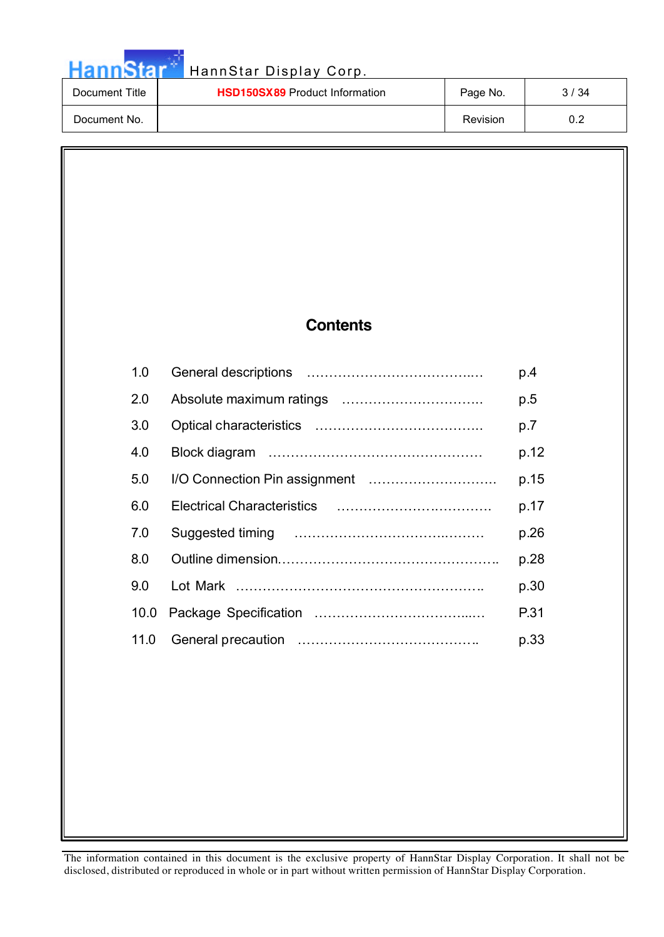# Hann Star<sup>th</sup> HannStar Display Corp.

| Document Title | <b>HSD150SX89</b> Product Information | Page No. | 3 / 34 |
|----------------|---------------------------------------|----------|--------|
| Document No.   |                                       | Revision | 0.2    |

### **Contents**

| 1.0              | p.4  |
|------------------|------|
| 2.0              | p.5  |
| 3.0              | p.7  |
| 4.0              | p.12 |
| 5.0              | p.15 |
| 6.0              | p.17 |
| 7.0              | p.26 |
| 8.0              | p.28 |
| 9.0 <sub>1</sub> | p.30 |
| 10.0             | P.31 |
| 11.0             | p.33 |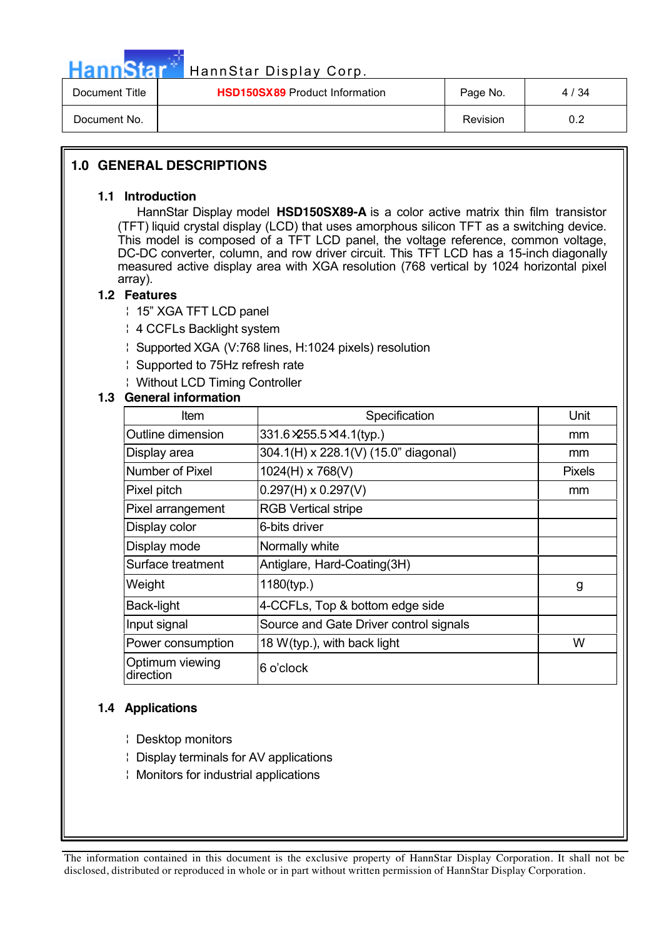

| Document Title | <b>HSD150SX89</b> Product Information | Page No.        | 4 / 34 |
|----------------|---------------------------------------|-----------------|--------|
| Document No.   |                                       | <b>Revision</b> | 0.2    |

#### **1.0 GENERAL DESCRIPTIONS**

#### **1.1 Introduction**

 HannStar Display model **HSD150SX89-A** is a color active matrix thin film transistor (TFT) liquid crystal display (LCD) that uses amorphous silicon TFT as a switching device. This model is composed of a TFT LCD panel, the voltage reference, common voltage, DC-DC converter, column, and row driver circuit. This TFT LCD has a 15-inch diagonally measured active display area with XGA resolution (768 vertical by 1024 horizontal pixel array).

#### **1.2 Features**

¦ 15" XGA TFT LCD panel

- ¦ 4 CCFLs Backlight system
- ¦ Supported XGA (V:768 lines, H:1024 pixels) resolution
- ¦ Supported to 75Hz refresh rate
- ¦ Without LCD Timing Controller

#### **1.3 General information**

| Item                         | Specification                          | Unit          |
|------------------------------|----------------------------------------|---------------|
| Outline dimension            | 331.6 × 255.5 × 14.1(typ.)             | mm            |
| Display area                 | 304.1(H) x 228.1(V) (15.0" diagonal)   | mm            |
| Number of Pixel              | 1024(H) x 768(V)                       | <b>Pixels</b> |
| Pixel pitch                  | $0.297(H) \times 0.297(V)$             | mm            |
| Pixel arrangement            | <b>RGB Vertical stripe</b>             |               |
| Display color                | 6-bits driver                          |               |
| Display mode                 | Normally white                         |               |
| Surface treatment            | Antiglare, Hard-Coating(3H)            |               |
| Weight                       | 1180(typ.)                             | g             |
| <b>Back-light</b>            | 4-CCFLs, Top & bottom edge side        |               |
| Input signal                 | Source and Gate Driver control signals |               |
| Power consumption            | 18 W(typ.), with back light            | W             |
| Optimum viewing<br>direction | 6 o'clock                              |               |

#### **1.4 Applications**

- ¦ Desktop monitors
- ¦ Display terminals for AV applications
- ¦ Monitors for industrial applications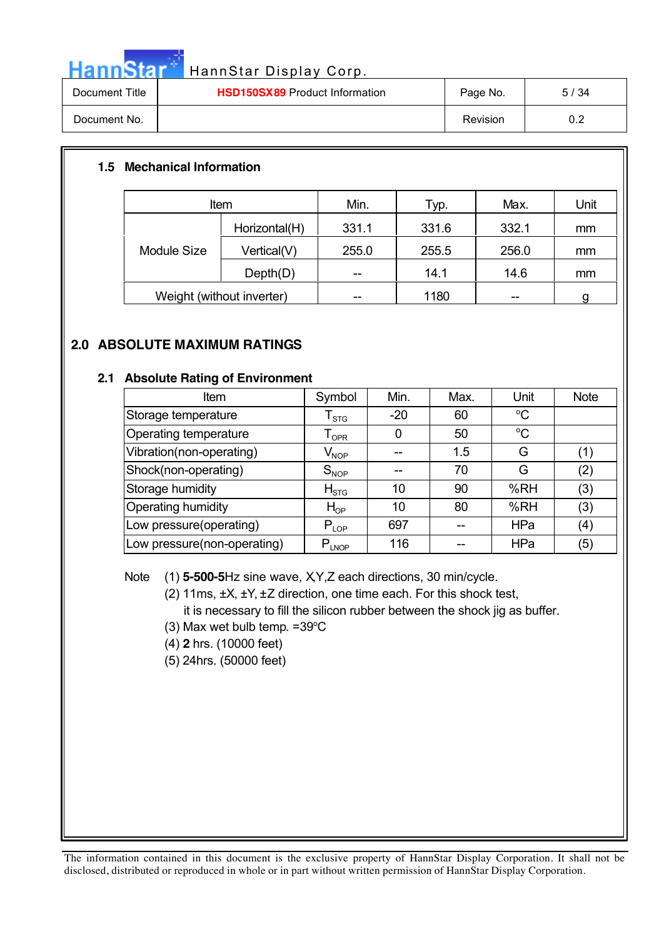

| Document Title | <b>HSD150SX89</b> Product Information | Page No. | 5/34       |
|----------------|---------------------------------------|----------|------------|
| Document No.   |                                       | Revision | ר ה<br>◡.∠ |

#### **1.5 Mechanical Information**

| Item                      |               | Min.  | Typ.  | Max.  | Unit |
|---------------------------|---------------|-------|-------|-------|------|
| Module Size               | Horizontal(H) | 331.1 | 331.6 | 332.1 | mm   |
|                           | Vertical(V)   | 255.0 | 255.5 | 256.0 | mm   |
|                           | Depth(D)      | --    | 14.1  | 14.6  | mm   |
| Weight (without inverter) |               |       | 1180  |       |      |

#### **2.0 ABSOLUTE MAXIMUM RATINGS**

#### **2.1 Absolute Rating of Environment**

| Item                         | Symbol                      | Min.  | Max. | Unit        | <b>Note</b>                                    |
|------------------------------|-----------------------------|-------|------|-------------|------------------------------------------------|
| Storage temperature          | ${\sf T}_{\text{STG}}$      | $-20$ | 60   | $^{\circ}C$ |                                                |
| <b>Operating temperature</b> | $\mathsf{T}_{\mathsf{OPR}}$ | O     | 50   | $\rm ^{o}C$ |                                                |
| Vibration(non-operating)     | $\mathsf{V}_{\mathsf{NOP}}$ |       | 1.5  | G           | $\left( \begin{matrix} 1 \end{matrix} \right)$ |
| Shock(non-operating)         | $S_{NOP}$                   |       | 70   | G           | (2)                                            |
| Storage humidity             | $H_{STG}$                   | 10    | 90   | %RH         | (3)                                            |
| <b>Operating humidity</b>    | $H_{OP}$                    | 10    | 80   | %RH         | (3)                                            |
| Low pressure(operating)      | $P_{LOP}$                   | 697   |      | HPa         | (4)                                            |
| Low pressure(non-operating)  | $P_{LNOP}$                  | 116   |      | HPa         | (5)                                            |

Note (1) **5-500-5**Hz sine wave, XY, Z each directions, 30 min/cycle.

(2) 11ms, ±X, ±Y, ±Z direction, one time each. For this shock test, it is necessary to fill the silicon rubber between the shock jig as buffer.

- $(3)$  Max wet bulb temp. = 39 $\mathrm{C}$
- (4) **2** hrs. (10000 feet)
- (5) 24hrs. (50000 feet)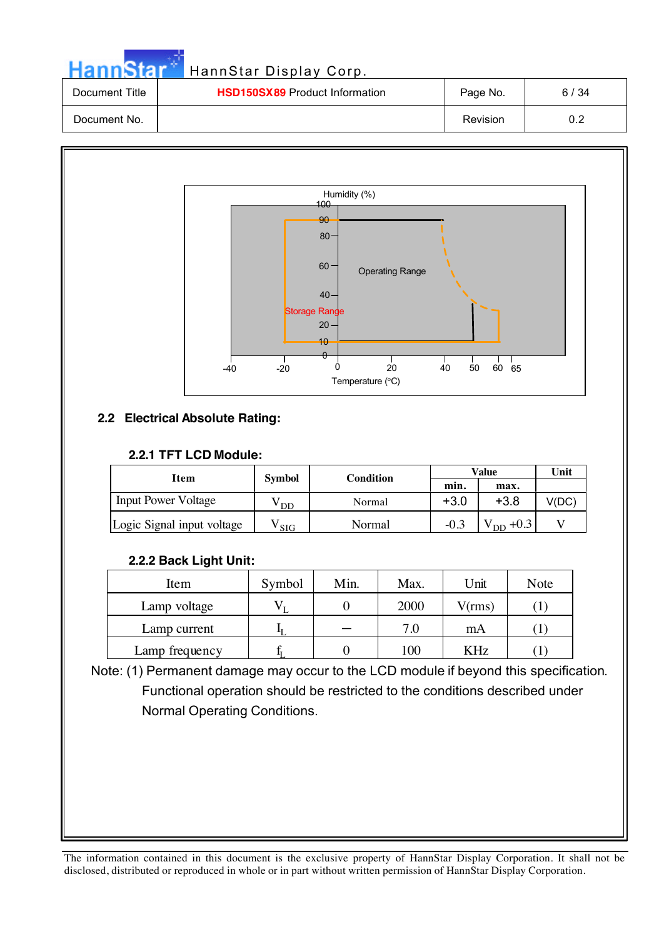| mnStar i    | HannStar Display Corp.                |         |
|-------------|---------------------------------------|---------|
| ement Titla | <b>HRD150RY80</b> Product Information | Dage No |

| Document Title | <b>HSD150SX89</b> Product Information | Page No. | 6 / 34 |
|----------------|---------------------------------------|----------|--------|
| Document No.   |                                       | Revision |        |



### **2.2 Electrical Absolute Rating:**

На

#### **2.2.1 TFT LCD Module:**

| Item                       | <b>Symbol</b> | Condition |        | Value                         | Unit  |
|----------------------------|---------------|-----------|--------|-------------------------------|-------|
|                            |               |           | min.   | max.                          |       |
| <b>Input Power Voltage</b> | DD            | Normal    | $+3.0$ | $+3.8$                        | V(DC) |
| Logic Signal input voltage | <b>SIG</b>    | Normal    | $-0.3$ | $\cdot$ v <sub>DD</sub> +0.31 |       |

#### **2.2.2 Back Light Unit:**

| Item           | Symbol | Min. | Max. | Unit   | Note |
|----------------|--------|------|------|--------|------|
| Lamp voltage   |        |      | 2000 | V(rms) |      |
| Lamp current   |        |      | 7.0  | mA     |      |
| Lamp frequency |        |      | 100  | KHz    |      |

Note: (1) Permanent damage may occur to the LCD module if beyond this specification. Functional operation should be restricted to the conditions described under Normal Operating Conditions.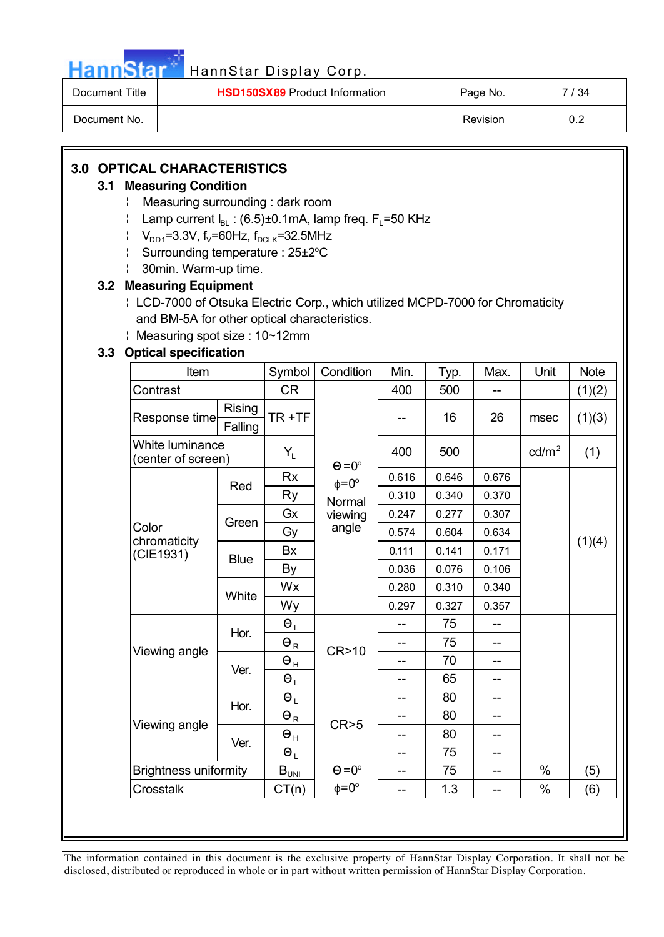

| Document Title | <b>HSD150SX89</b> Product Information | Page No.        | ี 34 |
|----------------|---------------------------------------|-----------------|------|
| Document No.   |                                       | <b>Revision</b> | U.Z  |

### **3.0 OPTICAL CHARACTERISTICS**

#### **3.1 Measuring Condition**

- ¦ Measuring surrounding : dark room
- $\parallel$  Lamp current  $I_{BL}$ : (6.5)±0.1mA, lamp freq. F<sub>L</sub>=50 KHz
- $V_{DD1}=3.3V$ , f<sub>V</sub>=60Hz, f<sub>DCLK</sub>=32.5MHz
- Surrounding temperature: 25±2<sup>o</sup>C
- ¦ 30min. Warm-up time.

#### **3.2 Measuring Equipment**

- ¦ LCD-7000 of Otsuka Electric Corp., which utilized MCPD-7000 for Chromaticity and BM-5A for other optical characteristics.
- ¦ Measuring spot size : 10~12mm

#### **3.3 Optical specification**

| Item                                  |             | Symbol                                   | Condition          | Min.  | Typ.  | Max.  | Unit            | <b>Note</b> |  |
|---------------------------------------|-------------|------------------------------------------|--------------------|-------|-------|-------|-----------------|-------------|--|
| Contrast                              |             | <b>CR</b>                                |                    |       | 500   |       |                 | (1)(2)      |  |
| Rising<br>Response time<br>Falling    |             | TR+TF                                    |                    | --    | 16    | 26    | msec            | (1)(3)      |  |
| White luminance<br>(center of screen) |             | $Y_L$                                    | $\Theta = 0^\circ$ | 400   | 500   |       | $\text{cd/m}^2$ | (1)         |  |
|                                       | Red         | <b>Rx</b>                                | $\phi = 0^{\circ}$ | 0.616 | 0.646 | 0.676 |                 |             |  |
|                                       |             | Ry                                       | Normal             | 0.310 | 0.340 | 0.370 |                 |             |  |
|                                       | Green       | Gx                                       | viewing            | 0.247 | 0.277 | 0.307 |                 |             |  |
| Color                                 |             | Gy                                       | angle              | 0.574 | 0.604 | 0.634 |                 |             |  |
| chromaticity<br>(CIE1931)             | <b>Blue</b> | <b>Bx</b>                                |                    | 0.111 | 0.141 | 0.171 |                 | (1)(4)      |  |
|                                       |             | By                                       |                    | 0.036 | 0.076 | 0.106 |                 |             |  |
|                                       |             | Wx                                       |                    | 0.280 | 0.310 | 0.340 |                 |             |  |
|                                       | White       | Wy                                       |                    | 0.297 | 0.327 | 0.357 |                 |             |  |
|                                       |             | $\Theta_L$                               |                    | --    | 75    | --    |                 |             |  |
|                                       | Hor.        | $\Theta_{\underline{R}}$                 |                    | --    | 75    | --    |                 |             |  |
| Viewing angle                         |             | $\Theta_{\underline{\textsf{H}}}$        | CR>10              | --    | 70    | --    |                 |             |  |
|                                       | Ver.        | $\Theta_L$                               |                    | --    | 65    | --    |                 |             |  |
|                                       |             | $\Theta_L$                               |                    | --    | 80    | --    |                 |             |  |
|                                       | Hor.        | $\Theta_{\underline{R}}$                 |                    | --    | 80    | --    |                 |             |  |
| Viewing angle                         |             | $\Theta_{\frac{\textrm{H}}{\textrm{L}}}$ | CR > 5             | --    | 80    | --    |                 |             |  |
|                                       | Ver.        | $\Theta_L$                               |                    | --    | 75    | --    |                 |             |  |
| <b>Brightness uniformity</b>          |             | $B_{\overline{U_{\text{NIL}}}}$          | $\Theta = 0^\circ$ | $-$   | 75    | --    | $\frac{0}{0}$   | (5)         |  |
| <b>Crosstalk</b>                      |             | CT(n)                                    | $\phi = 0^{\circ}$ | --    | 1.3   | --    | $\%$            | (6)         |  |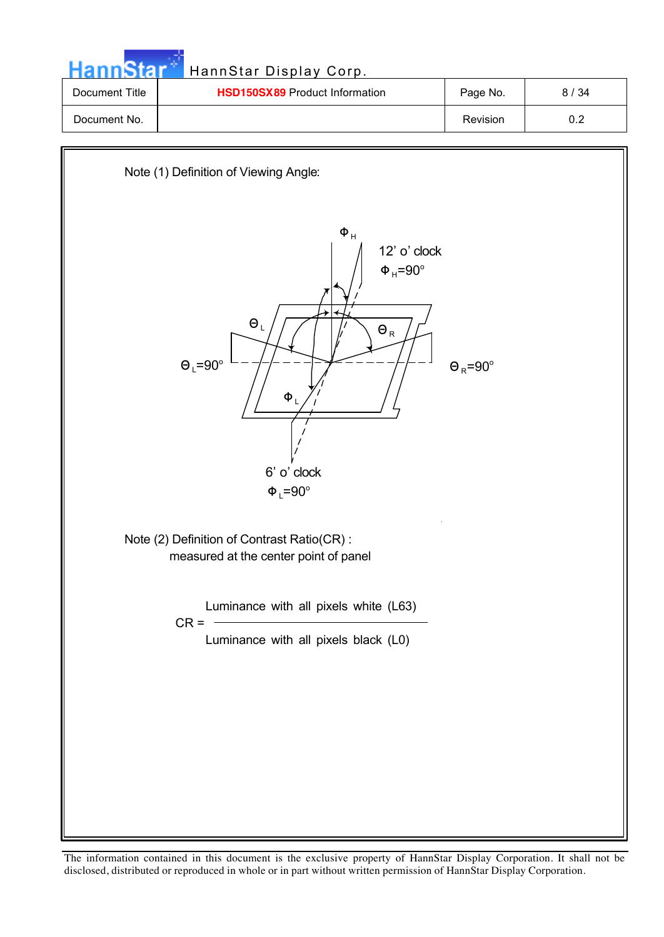| HannStar       | HannStar Display Corp.                |          |      |
|----------------|---------------------------------------|----------|------|
| Document Title | <b>HSD150SX89</b> Product Information | Page No. | 8/34 |
| Document No.   |                                       | Revision | 0.2  |

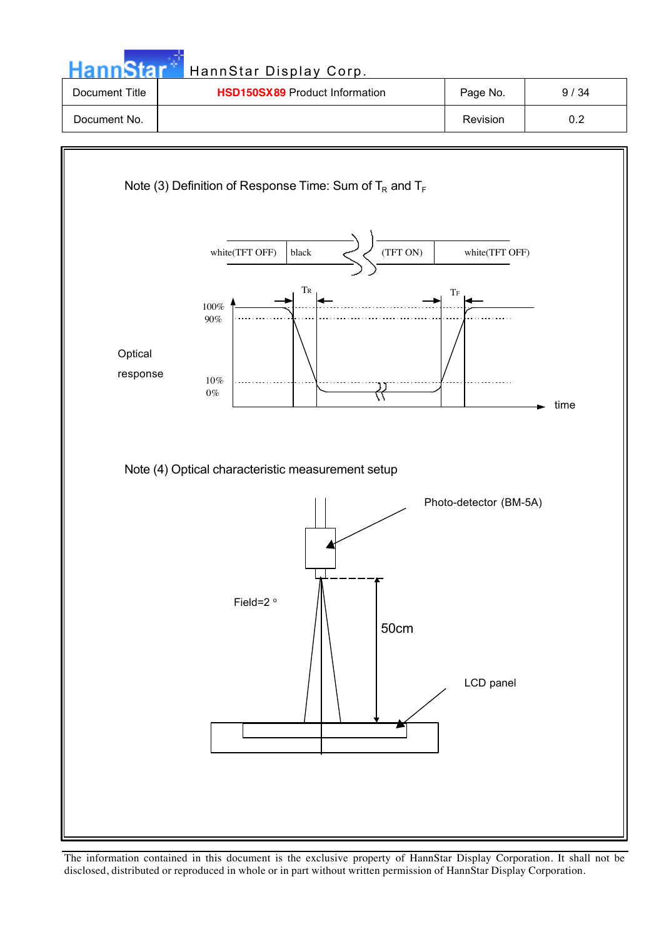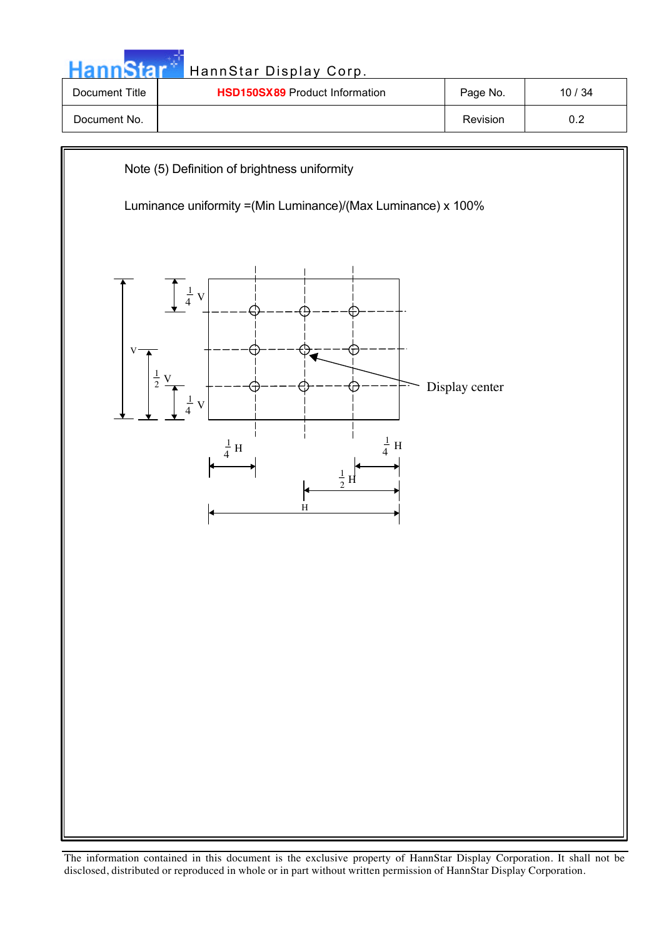| HannStar       | HannStar Display Corp.                                                                                        |                |         |
|----------------|---------------------------------------------------------------------------------------------------------------|----------------|---------|
| Document Title | <b>HSD150SX89 Product Information</b>                                                                         | Page No.       | 10 / 34 |
| Document No.   |                                                                                                               | Revision       | 0.2     |
|                | Note (5) Definition of brightness uniformity<br>Luminance uniformity = (Min Luminance)/(Max Luminance) x 100% |                |         |
|                | $\frac{1}{4}$<br>$\overline{V}$                                                                               | Display center |         |

 $\frac{1}{4}$  H

 $H$  $\frac{1}{2}$ 

**H** 

 $\frac{1}{4}$  V

 $\frac{1}{1}$ H  $\frac{1}{x}$ 4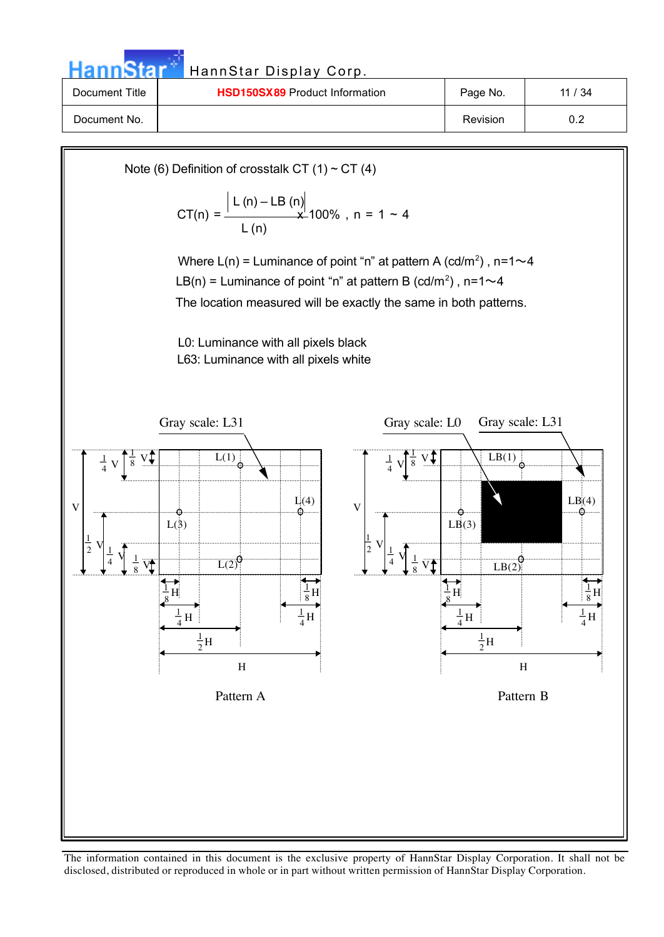HannStar<sup>t HannStar Display Corp.</sup>

| Document Title | <b>HSD150SX89</b> Product Information | Page No.        | 11/34 |
|----------------|---------------------------------------|-----------------|-------|
| Document No.   |                                       | <b>Revision</b> | ◡.∠   |

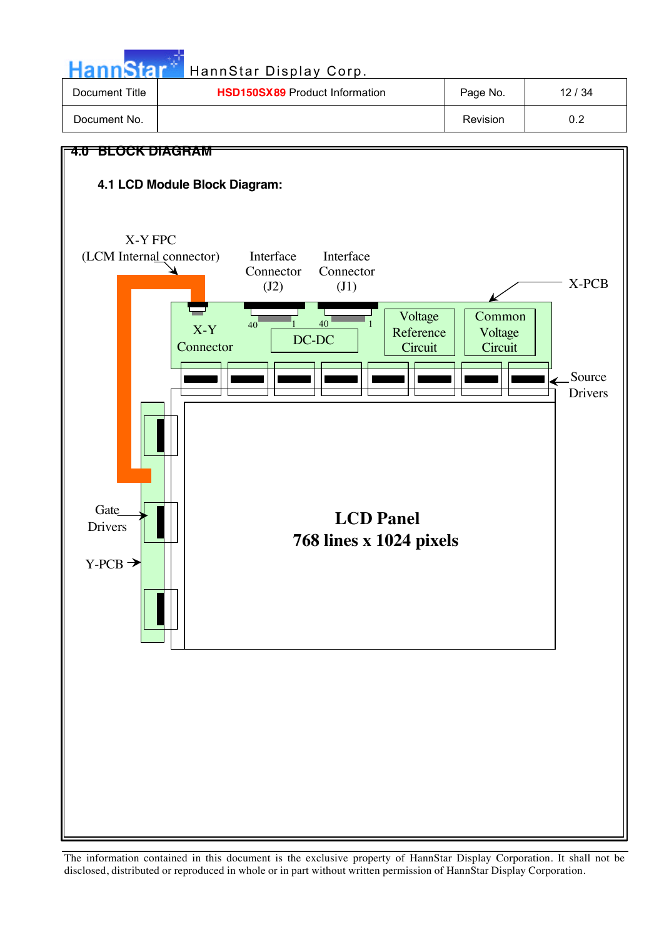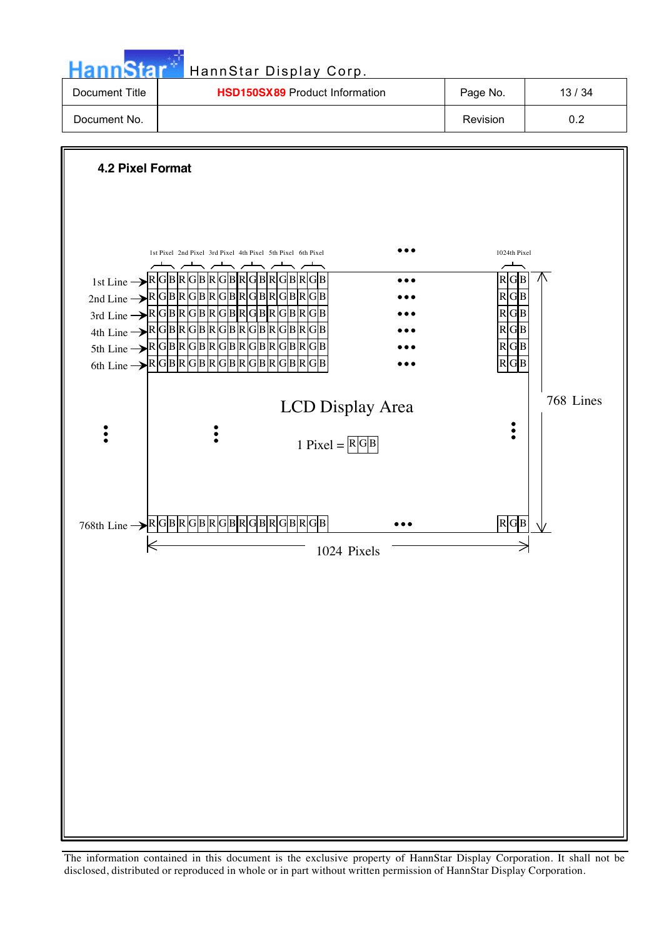| HannStar*      | HannStar Display Corp.                |          |       |
|----------------|---------------------------------------|----------|-------|
| Document Title | <b>HSD150SX89</b> Product Information | Page No. | 13/34 |
| Document No.   |                                       | Revision | 0.2   |

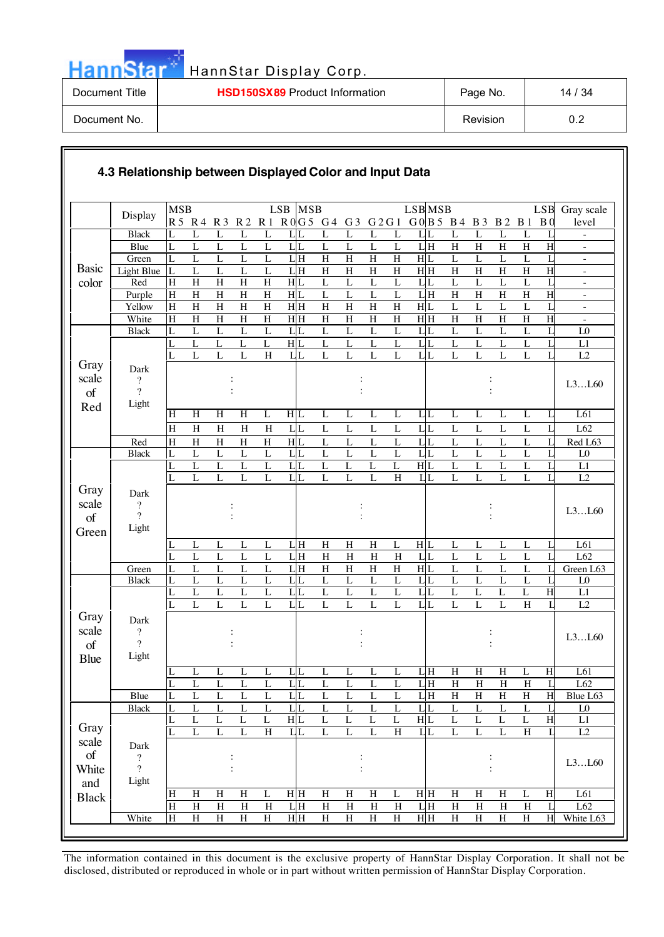| annStar |  |  |  |
|---------|--|--|--|

Н

### HannStar Display Corp.

| Document Title | <b>HSD150SX89</b> Product Information | Page No. | 14 / 34 |
|----------------|---------------------------------------|----------|---------|
| Document No.   |                                       | Revision | 0.2     |

#### **4.3 Relationship between Displayed Color and Input Data**

| ROG5 G4 G3 G2G1 G0B5 B4 B3 B2 B1<br>R5 R4 R3 R2 R1<br>B <sub>0</sub><br>level<br>$\overline{L}$<br><b>Black</b><br>L<br>L<br>L<br>L<br>L<br>$L_{L}$<br>L<br>L<br>L<br>L<br>L<br>L<br>$L_{\rm LL}$<br>L<br>L<br>L<br>$\mathbf L$<br>$\mathbf L$<br>$\mathbf L$<br>$L_{L}$<br>$\mathbf L$<br>$\mathbf L$<br>$\mathbf L$<br>$\mathbf L$<br>LH<br>$\overline{\mathrm{H}}$<br>H<br>H<br>$\overline{H}$<br>Blue<br>L<br>H<br>$\overline{\phantom{a}}$<br>$\overline{H}$<br>$\overline{H}$<br>$\overline{H}$<br>$\overline{H}$<br>H L<br>Green<br>LH<br>L<br>L<br>L<br>L<br>L<br>L<br>L<br>L<br>L<br>L<br>$\overline{\phantom{a}}$<br><b>Basic</b><br>$L$ <sub>H</sub><br>$\overline{H}$<br>$H$ $H$<br>$\overline{H}$<br>Light Blue<br>L<br>$\mathbf{L}$<br>$\rm H$<br>$\overline{H}$<br>$\mathbf H$<br>H<br>$\mathbf H$<br>L<br>L<br>$\,$ H<br>$\mathbf H$<br>L<br>$\sim$<br>$\overline{H}$<br>$\overline{L}$<br>$\overline{L}$<br>$\overline{H}$<br>$\overline{H}$<br>$\overline{H}$<br>H L<br>$\overline{L}$<br>$\overline{L}$<br>$\overline{L}$<br>$L_{L}$<br>$\overline{L}$<br>$\overline{L}$<br>L<br>color<br>H<br>L<br>Red<br>×.<br>$\overline{H}$<br>$\overline{H}$<br>$\overline{H}$<br>$\overline{L}$<br>$\overline{L}$<br>$\overline{L}$<br>LH<br>$\overline{H}$<br>$\overline{H}$<br>$\overline{H}$<br>$\overline{H}$<br>$\overline{H}$<br>H<br>$\, {\rm H}$<br>H L<br>L<br>Purple<br>$\overline{\phantom{a}}$<br>$H$ $H$<br>H L<br>$\overline{L}$<br>$\overline{H}$<br>H<br>$\rm H$<br>$\rm H$<br>$\rm H$<br>H<br>H<br>$\mathbf H$<br>$\mathbf L$<br>$\mathbf{L}$<br>$\mathbf L$<br>L<br>Yellow<br>H<br>$\overline{\phantom{a}}$<br>H H<br>$\overline{H}$<br>$\overline{H}$<br>$H$ $H$<br>$\overline{H}$<br>$\overline{H}$<br>$\overline{H}$<br>$\mathbf H$<br>$\, {\rm H}$<br>$\mathbf H$<br>H<br>$\overline{\mathrm{H}}$<br>H<br>$\overline{H}$<br>$\rm H$<br>White<br>H<br>$\overline{\phantom{a}}$<br>$L_{L}$<br>$\mathbf L$<br>$\mathbf L$<br>$\mathbf L$<br>L<br>L<br>L<br>L L<br>L<br>L<br>L<br>L<br>L <sub>0</sub><br><b>Black</b><br>L<br>L<br>L<br>L<br>$\overline{L}$<br>H L<br>$\overline{L}$<br>$\overline{L}$<br>$\overline{L}$<br>$\overline{L}$ L<br>$\overline{L}$<br>$\overline{L}$<br>$\mathbf L$<br>$\mathbf{L}$<br>L<br>L<br>L<br>L<br>$\mathbf L$<br>$\mathbf{I}$<br>L1<br>$\overline{L}$<br>$\overline{L}$<br>$L_{L}$<br>$\overline{L}$<br>L<br>L<br>$\mathbf L$<br>$\mathbf L$<br>$\rm H$<br>LL<br>$\mathbf L$<br>$\mathbf{L}$<br>L<br>$\mathbf L$<br>L2<br>L<br>L<br>Gray<br>Dark<br>scale<br>?<br>L3L60<br>$\gamma$<br>of<br>Light<br>Red<br>$\overline{H}$<br>H<br>$\overline{H}$<br>H L<br>L61<br>H<br>L<br>$\overline{L}$<br>$\overline{L}$<br>L<br>$\overline{L}$<br>$L_{L}$<br>$\overline{L}$<br>L<br>$\overline{L}$<br>$\overline{L}$<br>L<br>$\overline{H}$<br>$\overline{H}$<br>LL<br>$\overline{L}$<br>$\overline{L}$<br>$\overline{L}$<br>$\overline{L}$<br>$L_{L}$<br>$\overline{L}$<br>$\overline{L}$<br>$\overline{L}$<br>$\rm H$<br>$\, {\rm H}$<br>$\, {\rm H}$<br>$\mathbf L$<br>L<br>L62<br>$\overline{H}$<br>$\overline{H}$<br>$\overline{H}$<br>$\overline{H}$<br>H L<br>$\overline{L}$<br>$\overline{L}$<br>$\overline{L}$<br>$L_{L}$<br>$\overline{L}$<br>$\overline{L}$<br>$\overline{L}$<br>Red<br>$\, {\rm H}$<br>L<br>L<br>L<br>Red L63<br>$\overline{L}$<br>$\mathbf L$<br>$\mathbf L$<br>$\mathbf L$<br>$L_{L}$<br>$\mathbf L$<br>$\mathbf L$<br>$\mathbf L$<br>$L_{L}$<br>$\mathbf L$<br>$\mathbf L$<br>$\mathbf L$<br><b>Black</b><br>L<br>L<br>$\mathbf{I}$<br>L <sub>0</sub><br>L<br>$\mathbf L$<br>$\mathbf L$<br>$\mathbf L$<br>$L_{L}$<br>$\mathbf{L}$<br>$\mathbf L$<br>H L<br>$\mathbf L$<br>$\mathbf L$<br>$\mathbf L$<br>L<br>L<br>L<br>L<br>L<br>L1<br>L<br>$\overline{L}$<br>$\overline{H}$<br>L<br>$\mathbf L$<br>$\mathbf L$<br>$L_{L}$<br>$\mathbf L$<br>LL<br>$\mathbf L$<br>$\mathbf L$<br>$\mathbf L$<br>L<br>L2<br>L<br>L<br>L<br>L<br>Gray<br>Dark<br>scale<br>$\boldsymbol{?}$<br>L3L60<br>$\overline{?}$<br>of<br>Light<br>Green<br>LH<br>$\boldsymbol{\mathrm{H}}$<br>$\rm H$<br>H L<br>L61<br>L<br>L<br>H<br>L<br>L<br>L<br>L<br>L<br>L<br>L<br>L<br>L<br>$\overline{L}$<br>$\overline{L}$<br>$\overline{L}$<br>$L$ H<br>$\overline{H}$<br>LL<br>$\overline{L}$<br>$\overline{L}$<br>$\overline{L}$<br>L62<br>L<br>$\overline{L}$<br>$\overline{H}$<br>$\overline{H}$<br>L<br>L<br>H<br>$\mathbf{L}$<br>$\overline{L}$<br>LH<br>$\overline{H}$<br>$\overline{H}$<br>$\overline{H}$<br>H L<br>L<br>$\mathbf{L}$<br>H<br>$\mathbf{L}$<br>L<br>$\mathbf L$<br>Green<br>L<br>L<br>$\mathbf{I}$ .<br>Green L63<br>$L_{L}$<br>$\overline{L}$<br>$\mathbf L$<br>$\mathbf L$<br>$L_{L}$<br>$\mathbf L$<br>$\mathbf L$<br>$\mathbf L$<br>$\mathbf L$<br>$\mathbf L$<br><b>Black</b><br>L<br>L<br>L<br>L<br>L<br>L<br>L <sub>0</sub><br>$\overline{H}$<br>$\overline{L}$<br>$\overline{L}$<br>$\overline{L}$<br>$\overline{L}$<br>$\overline{L}$<br>$L_{L}$<br>$\overline{L}$<br>$\overline{L}$<br>L<br>L<br>L<br>$L_{L}$<br>L<br>L<br>L<br>L1<br>$\overline{L}$<br>L<br>$\mathbf{L}$<br>$\overline{L}$<br>$\overline{L}$<br>$\overline{L}$<br>$\overline{L}L$<br>L<br>L<br>L<br>LL<br>L<br>L<br>$\boldsymbol{\mathrm{H}}$<br>$\mathbf{L}$<br>L2<br>L<br>Gray<br>Dark<br>scale<br>$\boldsymbol{?}$<br>L3L60<br>$\gamma$<br>of<br>Light<br><b>Blue</b><br>LH<br>H<br>$\overline{H}$<br>$\overline{H}$<br>H<br>L61<br>L<br>L<br>L<br>$L_{L}$<br>L<br>L<br>L<br>L<br>L<br>L<br>L<br>$\overline{L}$<br>$\overline{L}$<br>$\overline{L}$<br>$\overline{L}$<br>$L_{L}$<br>$\overline{L}$<br>$\overline{L}$<br>$\overline{L}$<br>$\overline{L}$<br>$L$ <sub>H</sub><br>$\overline{H}$<br>$\,$ H<br>$\, {\rm H}$<br>$\mathbf H$<br>$\mathbf{L}$<br>L<br>L62<br>LH<br>$\overline{\rm H}$<br>H<br><b>Blue</b><br>$\overline{L}$<br>$\overline{L}$<br>$\overline{L}$<br>$\overline{L}$<br>L L<br>$\overline{L}$<br>$\overline{L}$<br>$\overline{H}$<br>$\overline{H}$<br>$\overline{H}$<br>Blue L63<br>$\mathbf L$<br>$\mathbf L$<br>$\mathbf L$<br>$\overline{L}$<br>$\overline{L}$<br>$L_{L}$<br>$\overline{L}$<br>$L_{L}$<br>$\overline{L}$<br>$\overline{L}$<br>L<br>$\overline{L}$<br>$\mathbf{L}$<br>$\overline{L}$<br>$\overline{L}$<br>$\overline{L}$<br>$\overline{L}$<br>$\mathbf{L}$<br>L<br><b>Black</b><br>${\rm L}0$<br>H L<br>$\overline{H}$<br>H L<br>$\mathbf L$<br>$\mathbf L$<br>$\mathbf L$<br>$\mathbf L$<br>L<br>$\mathbf L$<br>$\mathbf L$<br>L1<br>L<br>L<br>L<br>L<br>L<br>L<br>Gray<br>$\overline{H}$<br>$\boldsymbol{\mathrm{H}}$<br>ĪĿ<br>LL<br>$\mathbf H$<br>L<br>L<br>L<br>L<br>$\mathbf{I}$<br>L2<br>L<br>L<br>L<br>L<br>L<br>scale<br>Dark<br>$\sigma f$<br>$\overline{?}$<br>L3L60<br>$\overline{?}$<br>White<br>$\ddot{\cdot}$<br>Light<br>and<br>$\, {\rm H}$<br>H H<br>$\mathbf H$<br>H H<br>$\rm H$<br>$\, {\rm H}$<br>$\boldsymbol{\mathrm{H}}$<br>L61<br>H<br>$\boldsymbol{\mathrm{H}}$<br>$H_{\rm}$<br>$\mathbf L$<br>$\rm H$<br>$H_{\rm}$<br>L<br>$\mathbf L$<br>H<br><b>Black</b><br>LH<br>$\overline{H}$<br>$\overline{\rm H}$<br>$\overline{H}$<br>$\overline{\rm H}$<br>$\overline{H}$<br>$\overline{\rm H}$<br>LH<br>$\overline{H}$<br>$\overline{\rm H}$<br>$\overline{H}$<br>$\rm H$<br>H<br>H<br>H<br>$\mathbf{L}$<br>L62<br>$\overline{H}$<br>HH<br>$\overline{H}$<br>H H<br>$\overline{H}$<br>$\overline{\mathrm{H}}$<br>H<br>$\rm H$<br>$\rm H$<br>$\mathbf H$<br>H<br>$\rm H$<br>H<br>H<br>White<br>H<br>H<br>White L63 |         | <b>MSB</b> |  |  | <b>LSB</b> | <b>MSB</b> |  |  | <b>LSB</b> MSB |  |  | <b>LSB</b> | Gray scale |
|----------------------------------------------------------------------------------------------------------------------------------------------------------------------------------------------------------------------------------------------------------------------------------------------------------------------------------------------------------------------------------------------------------------------------------------------------------------------------------------------------------------------------------------------------------------------------------------------------------------------------------------------------------------------------------------------------------------------------------------------------------------------------------------------------------------------------------------------------------------------------------------------------------------------------------------------------------------------------------------------------------------------------------------------------------------------------------------------------------------------------------------------------------------------------------------------------------------------------------------------------------------------------------------------------------------------------------------------------------------------------------------------------------------------------------------------------------------------------------------------------------------------------------------------------------------------------------------------------------------------------------------------------------------------------------------------------------------------------------------------------------------------------------------------------------------------------------------------------------------------------------------------------------------------------------------------------------------------------------------------------------------------------------------------------------------------------------------------------------------------------------------------------------------------------------------------------------------------------------------------------------------------------------------------------------------------------------------------------------------------------------------------------------------------------------------------------------------------------------------------------------------------------------------------------------------------------------------------------------------------------------------------------------------------------------------------------------------------------------------------------------------------------------------------------------------------------------------------------------------------------------------------------------------------------------------------------------------------------------------------------------------------------------------------------------------------------------------------------------------------------------------------------------------------------------------------------------------------------------------------------------------------------------------------------------------------------------------------------------------------------------------------------------------------------------------------------------------------------------------------------------------------------------------------------------------------------------------------------------------------------------------------------------------------------------------------------------------------------------------------------------------------------------------------------------------------------------------------------------------------------------------------------------------------------------------------------------------------------------------------------------------------------------------------------------------------------------------------------------------------------------------------------------------------------------------------------------------------------------------------------------------------------------------------------------------------------------------------------------------------------------------------------------------------------------------------------------------------------------------------------------------------------------------------------------------------------------------------------------------------------------------------------------------------------------------------------------------------------------------------------------------------------------------------------------------------------------------------------------------------------------------------------------------------------------------------------------------------------------------------------------------------------------------------------------------------------------------------------------------------------------------------------------------------------------------------------------------------------------------------------------------------------------------------------------------------------------------------------------------------------------------------------------------------------------------------------------------------------------------------------------------------------------------------------------------------------------------------------------------------------------------------------------------------------------------------------------------------------------------------------------------------------------------------------------------------------------------------------------------------------------------------------------------------------------------------------------------------------------------------------------------------------------------------------------------------------------------------------------------------------------------------------------------------------------------------------------------------------------------------------------------------------------------------------------------------------------------------------------------------------------------------------------------------------------------------------------------------------------------------------------------------------------------------------------------------------------------------------------------------------------------------------------------------------------------------------------------------------------------------------------------------------------------------------------------------------------------------------------------------------------------------------------------------------------------------------------------------------------------------------------------------------------------------------------------------------------------------------------------------------------------------------------------------------------------------------------------------------------------------------------------------------------------------------------------------------------------------------------------------------------------------------------------------------------------------|---------|------------|--|--|------------|------------|--|--|----------------|--|--|------------|------------|
|                                                                                                                                                                                                                                                                                                                                                                                                                                                                                                                                                                                                                                                                                                                                                                                                                                                                                                                                                                                                                                                                                                                                                                                                                                                                                                                                                                                                                                                                                                                                                                                                                                                                                                                                                                                                                                                                                                                                                                                                                                                                                                                                                                                                                                                                                                                                                                                                                                                                                                                                                                                                                                                                                                                                                                                                                                                                                                                                                                                                                                                                                                                                                                                                                                                                                                                                                                                                                                                                                                                                                                                                                                                                                                                                                                                                                                                                                                                                                                                                                                                                                                                                                                                                                                                                                                                                                                                                                                                                                                                                                                                                                                                                                                                                                                                                                                                                                                                                                                                                                                                                                                                                                                                                                                                                                                                                                                                                                                                                                                                                                                                                                                                                                                                                                                                                                                                                                                                                                                                                                                                                                                                                                                                                                                                                                                                                                                                                                                                                                                                                                                                                                                                                                                                                                                                                                                                                                                                                                                                                                                                                                                                                                                                                                                                                                                                                                                                                                                              | Display |            |  |  |            |            |  |  |                |  |  |            |            |
|                                                                                                                                                                                                                                                                                                                                                                                                                                                                                                                                                                                                                                                                                                                                                                                                                                                                                                                                                                                                                                                                                                                                                                                                                                                                                                                                                                                                                                                                                                                                                                                                                                                                                                                                                                                                                                                                                                                                                                                                                                                                                                                                                                                                                                                                                                                                                                                                                                                                                                                                                                                                                                                                                                                                                                                                                                                                                                                                                                                                                                                                                                                                                                                                                                                                                                                                                                                                                                                                                                                                                                                                                                                                                                                                                                                                                                                                                                                                                                                                                                                                                                                                                                                                                                                                                                                                                                                                                                                                                                                                                                                                                                                                                                                                                                                                                                                                                                                                                                                                                                                                                                                                                                                                                                                                                                                                                                                                                                                                                                                                                                                                                                                                                                                                                                                                                                                                                                                                                                                                                                                                                                                                                                                                                                                                                                                                                                                                                                                                                                                                                                                                                                                                                                                                                                                                                                                                                                                                                                                                                                                                                                                                                                                                                                                                                                                                                                                                                                              |         |            |  |  |            |            |  |  |                |  |  |            |            |
|                                                                                                                                                                                                                                                                                                                                                                                                                                                                                                                                                                                                                                                                                                                                                                                                                                                                                                                                                                                                                                                                                                                                                                                                                                                                                                                                                                                                                                                                                                                                                                                                                                                                                                                                                                                                                                                                                                                                                                                                                                                                                                                                                                                                                                                                                                                                                                                                                                                                                                                                                                                                                                                                                                                                                                                                                                                                                                                                                                                                                                                                                                                                                                                                                                                                                                                                                                                                                                                                                                                                                                                                                                                                                                                                                                                                                                                                                                                                                                                                                                                                                                                                                                                                                                                                                                                                                                                                                                                                                                                                                                                                                                                                                                                                                                                                                                                                                                                                                                                                                                                                                                                                                                                                                                                                                                                                                                                                                                                                                                                                                                                                                                                                                                                                                                                                                                                                                                                                                                                                                                                                                                                                                                                                                                                                                                                                                                                                                                                                                                                                                                                                                                                                                                                                                                                                                                                                                                                                                                                                                                                                                                                                                                                                                                                                                                                                                                                                                                              |         |            |  |  |            |            |  |  |                |  |  |            |            |
|                                                                                                                                                                                                                                                                                                                                                                                                                                                                                                                                                                                                                                                                                                                                                                                                                                                                                                                                                                                                                                                                                                                                                                                                                                                                                                                                                                                                                                                                                                                                                                                                                                                                                                                                                                                                                                                                                                                                                                                                                                                                                                                                                                                                                                                                                                                                                                                                                                                                                                                                                                                                                                                                                                                                                                                                                                                                                                                                                                                                                                                                                                                                                                                                                                                                                                                                                                                                                                                                                                                                                                                                                                                                                                                                                                                                                                                                                                                                                                                                                                                                                                                                                                                                                                                                                                                                                                                                                                                                                                                                                                                                                                                                                                                                                                                                                                                                                                                                                                                                                                                                                                                                                                                                                                                                                                                                                                                                                                                                                                                                                                                                                                                                                                                                                                                                                                                                                                                                                                                                                                                                                                                                                                                                                                                                                                                                                                                                                                                                                                                                                                                                                                                                                                                                                                                                                                                                                                                                                                                                                                                                                                                                                                                                                                                                                                                                                                                                                                              |         |            |  |  |            |            |  |  |                |  |  |            |            |
|                                                                                                                                                                                                                                                                                                                                                                                                                                                                                                                                                                                                                                                                                                                                                                                                                                                                                                                                                                                                                                                                                                                                                                                                                                                                                                                                                                                                                                                                                                                                                                                                                                                                                                                                                                                                                                                                                                                                                                                                                                                                                                                                                                                                                                                                                                                                                                                                                                                                                                                                                                                                                                                                                                                                                                                                                                                                                                                                                                                                                                                                                                                                                                                                                                                                                                                                                                                                                                                                                                                                                                                                                                                                                                                                                                                                                                                                                                                                                                                                                                                                                                                                                                                                                                                                                                                                                                                                                                                                                                                                                                                                                                                                                                                                                                                                                                                                                                                                                                                                                                                                                                                                                                                                                                                                                                                                                                                                                                                                                                                                                                                                                                                                                                                                                                                                                                                                                                                                                                                                                                                                                                                                                                                                                                                                                                                                                                                                                                                                                                                                                                                                                                                                                                                                                                                                                                                                                                                                                                                                                                                                                                                                                                                                                                                                                                                                                                                                                                              |         |            |  |  |            |            |  |  |                |  |  |            |            |
|                                                                                                                                                                                                                                                                                                                                                                                                                                                                                                                                                                                                                                                                                                                                                                                                                                                                                                                                                                                                                                                                                                                                                                                                                                                                                                                                                                                                                                                                                                                                                                                                                                                                                                                                                                                                                                                                                                                                                                                                                                                                                                                                                                                                                                                                                                                                                                                                                                                                                                                                                                                                                                                                                                                                                                                                                                                                                                                                                                                                                                                                                                                                                                                                                                                                                                                                                                                                                                                                                                                                                                                                                                                                                                                                                                                                                                                                                                                                                                                                                                                                                                                                                                                                                                                                                                                                                                                                                                                                                                                                                                                                                                                                                                                                                                                                                                                                                                                                                                                                                                                                                                                                                                                                                                                                                                                                                                                                                                                                                                                                                                                                                                                                                                                                                                                                                                                                                                                                                                                                                                                                                                                                                                                                                                                                                                                                                                                                                                                                                                                                                                                                                                                                                                                                                                                                                                                                                                                                                                                                                                                                                                                                                                                                                                                                                                                                                                                                                                              |         |            |  |  |            |            |  |  |                |  |  |            |            |
|                                                                                                                                                                                                                                                                                                                                                                                                                                                                                                                                                                                                                                                                                                                                                                                                                                                                                                                                                                                                                                                                                                                                                                                                                                                                                                                                                                                                                                                                                                                                                                                                                                                                                                                                                                                                                                                                                                                                                                                                                                                                                                                                                                                                                                                                                                                                                                                                                                                                                                                                                                                                                                                                                                                                                                                                                                                                                                                                                                                                                                                                                                                                                                                                                                                                                                                                                                                                                                                                                                                                                                                                                                                                                                                                                                                                                                                                                                                                                                                                                                                                                                                                                                                                                                                                                                                                                                                                                                                                                                                                                                                                                                                                                                                                                                                                                                                                                                                                                                                                                                                                                                                                                                                                                                                                                                                                                                                                                                                                                                                                                                                                                                                                                                                                                                                                                                                                                                                                                                                                                                                                                                                                                                                                                                                                                                                                                                                                                                                                                                                                                                                                                                                                                                                                                                                                                                                                                                                                                                                                                                                                                                                                                                                                                                                                                                                                                                                                                                              |         |            |  |  |            |            |  |  |                |  |  |            |            |
|                                                                                                                                                                                                                                                                                                                                                                                                                                                                                                                                                                                                                                                                                                                                                                                                                                                                                                                                                                                                                                                                                                                                                                                                                                                                                                                                                                                                                                                                                                                                                                                                                                                                                                                                                                                                                                                                                                                                                                                                                                                                                                                                                                                                                                                                                                                                                                                                                                                                                                                                                                                                                                                                                                                                                                                                                                                                                                                                                                                                                                                                                                                                                                                                                                                                                                                                                                                                                                                                                                                                                                                                                                                                                                                                                                                                                                                                                                                                                                                                                                                                                                                                                                                                                                                                                                                                                                                                                                                                                                                                                                                                                                                                                                                                                                                                                                                                                                                                                                                                                                                                                                                                                                                                                                                                                                                                                                                                                                                                                                                                                                                                                                                                                                                                                                                                                                                                                                                                                                                                                                                                                                                                                                                                                                                                                                                                                                                                                                                                                                                                                                                                                                                                                                                                                                                                                                                                                                                                                                                                                                                                                                                                                                                                                                                                                                                                                                                                                                              |         |            |  |  |            |            |  |  |                |  |  |            |            |
|                                                                                                                                                                                                                                                                                                                                                                                                                                                                                                                                                                                                                                                                                                                                                                                                                                                                                                                                                                                                                                                                                                                                                                                                                                                                                                                                                                                                                                                                                                                                                                                                                                                                                                                                                                                                                                                                                                                                                                                                                                                                                                                                                                                                                                                                                                                                                                                                                                                                                                                                                                                                                                                                                                                                                                                                                                                                                                                                                                                                                                                                                                                                                                                                                                                                                                                                                                                                                                                                                                                                                                                                                                                                                                                                                                                                                                                                                                                                                                                                                                                                                                                                                                                                                                                                                                                                                                                                                                                                                                                                                                                                                                                                                                                                                                                                                                                                                                                                                                                                                                                                                                                                                                                                                                                                                                                                                                                                                                                                                                                                                                                                                                                                                                                                                                                                                                                                                                                                                                                                                                                                                                                                                                                                                                                                                                                                                                                                                                                                                                                                                                                                                                                                                                                                                                                                                                                                                                                                                                                                                                                                                                                                                                                                                                                                                                                                                                                                                                              |         |            |  |  |            |            |  |  |                |  |  |            |            |
|                                                                                                                                                                                                                                                                                                                                                                                                                                                                                                                                                                                                                                                                                                                                                                                                                                                                                                                                                                                                                                                                                                                                                                                                                                                                                                                                                                                                                                                                                                                                                                                                                                                                                                                                                                                                                                                                                                                                                                                                                                                                                                                                                                                                                                                                                                                                                                                                                                                                                                                                                                                                                                                                                                                                                                                                                                                                                                                                                                                                                                                                                                                                                                                                                                                                                                                                                                                                                                                                                                                                                                                                                                                                                                                                                                                                                                                                                                                                                                                                                                                                                                                                                                                                                                                                                                                                                                                                                                                                                                                                                                                                                                                                                                                                                                                                                                                                                                                                                                                                                                                                                                                                                                                                                                                                                                                                                                                                                                                                                                                                                                                                                                                                                                                                                                                                                                                                                                                                                                                                                                                                                                                                                                                                                                                                                                                                                                                                                                                                                                                                                                                                                                                                                                                                                                                                                                                                                                                                                                                                                                                                                                                                                                                                                                                                                                                                                                                                                                              |         |            |  |  |            |            |  |  |                |  |  |            |            |
|                                                                                                                                                                                                                                                                                                                                                                                                                                                                                                                                                                                                                                                                                                                                                                                                                                                                                                                                                                                                                                                                                                                                                                                                                                                                                                                                                                                                                                                                                                                                                                                                                                                                                                                                                                                                                                                                                                                                                                                                                                                                                                                                                                                                                                                                                                                                                                                                                                                                                                                                                                                                                                                                                                                                                                                                                                                                                                                                                                                                                                                                                                                                                                                                                                                                                                                                                                                                                                                                                                                                                                                                                                                                                                                                                                                                                                                                                                                                                                                                                                                                                                                                                                                                                                                                                                                                                                                                                                                                                                                                                                                                                                                                                                                                                                                                                                                                                                                                                                                                                                                                                                                                                                                                                                                                                                                                                                                                                                                                                                                                                                                                                                                                                                                                                                                                                                                                                                                                                                                                                                                                                                                                                                                                                                                                                                                                                                                                                                                                                                                                                                                                                                                                                                                                                                                                                                                                                                                                                                                                                                                                                                                                                                                                                                                                                                                                                                                                                                              |         |            |  |  |            |            |  |  |                |  |  |            |            |
|                                                                                                                                                                                                                                                                                                                                                                                                                                                                                                                                                                                                                                                                                                                                                                                                                                                                                                                                                                                                                                                                                                                                                                                                                                                                                                                                                                                                                                                                                                                                                                                                                                                                                                                                                                                                                                                                                                                                                                                                                                                                                                                                                                                                                                                                                                                                                                                                                                                                                                                                                                                                                                                                                                                                                                                                                                                                                                                                                                                                                                                                                                                                                                                                                                                                                                                                                                                                                                                                                                                                                                                                                                                                                                                                                                                                                                                                                                                                                                                                                                                                                                                                                                                                                                                                                                                                                                                                                                                                                                                                                                                                                                                                                                                                                                                                                                                                                                                                                                                                                                                                                                                                                                                                                                                                                                                                                                                                                                                                                                                                                                                                                                                                                                                                                                                                                                                                                                                                                                                                                                                                                                                                                                                                                                                                                                                                                                                                                                                                                                                                                                                                                                                                                                                                                                                                                                                                                                                                                                                                                                                                                                                                                                                                                                                                                                                                                                                                                                              |         |            |  |  |            |            |  |  |                |  |  |            |            |
|                                                                                                                                                                                                                                                                                                                                                                                                                                                                                                                                                                                                                                                                                                                                                                                                                                                                                                                                                                                                                                                                                                                                                                                                                                                                                                                                                                                                                                                                                                                                                                                                                                                                                                                                                                                                                                                                                                                                                                                                                                                                                                                                                                                                                                                                                                                                                                                                                                                                                                                                                                                                                                                                                                                                                                                                                                                                                                                                                                                                                                                                                                                                                                                                                                                                                                                                                                                                                                                                                                                                                                                                                                                                                                                                                                                                                                                                                                                                                                                                                                                                                                                                                                                                                                                                                                                                                                                                                                                                                                                                                                                                                                                                                                                                                                                                                                                                                                                                                                                                                                                                                                                                                                                                                                                                                                                                                                                                                                                                                                                                                                                                                                                                                                                                                                                                                                                                                                                                                                                                                                                                                                                                                                                                                                                                                                                                                                                                                                                                                                                                                                                                                                                                                                                                                                                                                                                                                                                                                                                                                                                                                                                                                                                                                                                                                                                                                                                                                                              |         |            |  |  |            |            |  |  |                |  |  |            |            |
|                                                                                                                                                                                                                                                                                                                                                                                                                                                                                                                                                                                                                                                                                                                                                                                                                                                                                                                                                                                                                                                                                                                                                                                                                                                                                                                                                                                                                                                                                                                                                                                                                                                                                                                                                                                                                                                                                                                                                                                                                                                                                                                                                                                                                                                                                                                                                                                                                                                                                                                                                                                                                                                                                                                                                                                                                                                                                                                                                                                                                                                                                                                                                                                                                                                                                                                                                                                                                                                                                                                                                                                                                                                                                                                                                                                                                                                                                                                                                                                                                                                                                                                                                                                                                                                                                                                                                                                                                                                                                                                                                                                                                                                                                                                                                                                                                                                                                                                                                                                                                                                                                                                                                                                                                                                                                                                                                                                                                                                                                                                                                                                                                                                                                                                                                                                                                                                                                                                                                                                                                                                                                                                                                                                                                                                                                                                                                                                                                                                                                                                                                                                                                                                                                                                                                                                                                                                                                                                                                                                                                                                                                                                                                                                                                                                                                                                                                                                                                                              |         |            |  |  |            |            |  |  |                |  |  |            |            |
|                                                                                                                                                                                                                                                                                                                                                                                                                                                                                                                                                                                                                                                                                                                                                                                                                                                                                                                                                                                                                                                                                                                                                                                                                                                                                                                                                                                                                                                                                                                                                                                                                                                                                                                                                                                                                                                                                                                                                                                                                                                                                                                                                                                                                                                                                                                                                                                                                                                                                                                                                                                                                                                                                                                                                                                                                                                                                                                                                                                                                                                                                                                                                                                                                                                                                                                                                                                                                                                                                                                                                                                                                                                                                                                                                                                                                                                                                                                                                                                                                                                                                                                                                                                                                                                                                                                                                                                                                                                                                                                                                                                                                                                                                                                                                                                                                                                                                                                                                                                                                                                                                                                                                                                                                                                                                                                                                                                                                                                                                                                                                                                                                                                                                                                                                                                                                                                                                                                                                                                                                                                                                                                                                                                                                                                                                                                                                                                                                                                                                                                                                                                                                                                                                                                                                                                                                                                                                                                                                                                                                                                                                                                                                                                                                                                                                                                                                                                                                                              |         |            |  |  |            |            |  |  |                |  |  |            |            |
|                                                                                                                                                                                                                                                                                                                                                                                                                                                                                                                                                                                                                                                                                                                                                                                                                                                                                                                                                                                                                                                                                                                                                                                                                                                                                                                                                                                                                                                                                                                                                                                                                                                                                                                                                                                                                                                                                                                                                                                                                                                                                                                                                                                                                                                                                                                                                                                                                                                                                                                                                                                                                                                                                                                                                                                                                                                                                                                                                                                                                                                                                                                                                                                                                                                                                                                                                                                                                                                                                                                                                                                                                                                                                                                                                                                                                                                                                                                                                                                                                                                                                                                                                                                                                                                                                                                                                                                                                                                                                                                                                                                                                                                                                                                                                                                                                                                                                                                                                                                                                                                                                                                                                                                                                                                                                                                                                                                                                                                                                                                                                                                                                                                                                                                                                                                                                                                                                                                                                                                                                                                                                                                                                                                                                                                                                                                                                                                                                                                                                                                                                                                                                                                                                                                                                                                                                                                                                                                                                                                                                                                                                                                                                                                                                                                                                                                                                                                                                                              |         |            |  |  |            |            |  |  |                |  |  |            |            |
|                                                                                                                                                                                                                                                                                                                                                                                                                                                                                                                                                                                                                                                                                                                                                                                                                                                                                                                                                                                                                                                                                                                                                                                                                                                                                                                                                                                                                                                                                                                                                                                                                                                                                                                                                                                                                                                                                                                                                                                                                                                                                                                                                                                                                                                                                                                                                                                                                                                                                                                                                                                                                                                                                                                                                                                                                                                                                                                                                                                                                                                                                                                                                                                                                                                                                                                                                                                                                                                                                                                                                                                                                                                                                                                                                                                                                                                                                                                                                                                                                                                                                                                                                                                                                                                                                                                                                                                                                                                                                                                                                                                                                                                                                                                                                                                                                                                                                                                                                                                                                                                                                                                                                                                                                                                                                                                                                                                                                                                                                                                                                                                                                                                                                                                                                                                                                                                                                                                                                                                                                                                                                                                                                                                                                                                                                                                                                                                                                                                                                                                                                                                                                                                                                                                                                                                                                                                                                                                                                                                                                                                                                                                                                                                                                                                                                                                                                                                                                                              |         |            |  |  |            |            |  |  |                |  |  |            |            |
|                                                                                                                                                                                                                                                                                                                                                                                                                                                                                                                                                                                                                                                                                                                                                                                                                                                                                                                                                                                                                                                                                                                                                                                                                                                                                                                                                                                                                                                                                                                                                                                                                                                                                                                                                                                                                                                                                                                                                                                                                                                                                                                                                                                                                                                                                                                                                                                                                                                                                                                                                                                                                                                                                                                                                                                                                                                                                                                                                                                                                                                                                                                                                                                                                                                                                                                                                                                                                                                                                                                                                                                                                                                                                                                                                                                                                                                                                                                                                                                                                                                                                                                                                                                                                                                                                                                                                                                                                                                                                                                                                                                                                                                                                                                                                                                                                                                                                                                                                                                                                                                                                                                                                                                                                                                                                                                                                                                                                                                                                                                                                                                                                                                                                                                                                                                                                                                                                                                                                                                                                                                                                                                                                                                                                                                                                                                                                                                                                                                                                                                                                                                                                                                                                                                                                                                                                                                                                                                                                                                                                                                                                                                                                                                                                                                                                                                                                                                                                                              |         |            |  |  |            |            |  |  |                |  |  |            |            |
|                                                                                                                                                                                                                                                                                                                                                                                                                                                                                                                                                                                                                                                                                                                                                                                                                                                                                                                                                                                                                                                                                                                                                                                                                                                                                                                                                                                                                                                                                                                                                                                                                                                                                                                                                                                                                                                                                                                                                                                                                                                                                                                                                                                                                                                                                                                                                                                                                                                                                                                                                                                                                                                                                                                                                                                                                                                                                                                                                                                                                                                                                                                                                                                                                                                                                                                                                                                                                                                                                                                                                                                                                                                                                                                                                                                                                                                                                                                                                                                                                                                                                                                                                                                                                                                                                                                                                                                                                                                                                                                                                                                                                                                                                                                                                                                                                                                                                                                                                                                                                                                                                                                                                                                                                                                                                                                                                                                                                                                                                                                                                                                                                                                                                                                                                                                                                                                                                                                                                                                                                                                                                                                                                                                                                                                                                                                                                                                                                                                                                                                                                                                                                                                                                                                                                                                                                                                                                                                                                                                                                                                                                                                                                                                                                                                                                                                                                                                                                                              |         |            |  |  |            |            |  |  |                |  |  |            |            |
|                                                                                                                                                                                                                                                                                                                                                                                                                                                                                                                                                                                                                                                                                                                                                                                                                                                                                                                                                                                                                                                                                                                                                                                                                                                                                                                                                                                                                                                                                                                                                                                                                                                                                                                                                                                                                                                                                                                                                                                                                                                                                                                                                                                                                                                                                                                                                                                                                                                                                                                                                                                                                                                                                                                                                                                                                                                                                                                                                                                                                                                                                                                                                                                                                                                                                                                                                                                                                                                                                                                                                                                                                                                                                                                                                                                                                                                                                                                                                                                                                                                                                                                                                                                                                                                                                                                                                                                                                                                                                                                                                                                                                                                                                                                                                                                                                                                                                                                                                                                                                                                                                                                                                                                                                                                                                                                                                                                                                                                                                                                                                                                                                                                                                                                                                                                                                                                                                                                                                                                                                                                                                                                                                                                                                                                                                                                                                                                                                                                                                                                                                                                                                                                                                                                                                                                                                                                                                                                                                                                                                                                                                                                                                                                                                                                                                                                                                                                                                                              |         |            |  |  |            |            |  |  |                |  |  |            |            |
|                                                                                                                                                                                                                                                                                                                                                                                                                                                                                                                                                                                                                                                                                                                                                                                                                                                                                                                                                                                                                                                                                                                                                                                                                                                                                                                                                                                                                                                                                                                                                                                                                                                                                                                                                                                                                                                                                                                                                                                                                                                                                                                                                                                                                                                                                                                                                                                                                                                                                                                                                                                                                                                                                                                                                                                                                                                                                                                                                                                                                                                                                                                                                                                                                                                                                                                                                                                                                                                                                                                                                                                                                                                                                                                                                                                                                                                                                                                                                                                                                                                                                                                                                                                                                                                                                                                                                                                                                                                                                                                                                                                                                                                                                                                                                                                                                                                                                                                                                                                                                                                                                                                                                                                                                                                                                                                                                                                                                                                                                                                                                                                                                                                                                                                                                                                                                                                                                                                                                                                                                                                                                                                                                                                                                                                                                                                                                                                                                                                                                                                                                                                                                                                                                                                                                                                                                                                                                                                                                                                                                                                                                                                                                                                                                                                                                                                                                                                                                                              |         |            |  |  |            |            |  |  |                |  |  |            |            |
|                                                                                                                                                                                                                                                                                                                                                                                                                                                                                                                                                                                                                                                                                                                                                                                                                                                                                                                                                                                                                                                                                                                                                                                                                                                                                                                                                                                                                                                                                                                                                                                                                                                                                                                                                                                                                                                                                                                                                                                                                                                                                                                                                                                                                                                                                                                                                                                                                                                                                                                                                                                                                                                                                                                                                                                                                                                                                                                                                                                                                                                                                                                                                                                                                                                                                                                                                                                                                                                                                                                                                                                                                                                                                                                                                                                                                                                                                                                                                                                                                                                                                                                                                                                                                                                                                                                                                                                                                                                                                                                                                                                                                                                                                                                                                                                                                                                                                                                                                                                                                                                                                                                                                                                                                                                                                                                                                                                                                                                                                                                                                                                                                                                                                                                                                                                                                                                                                                                                                                                                                                                                                                                                                                                                                                                                                                                                                                                                                                                                                                                                                                                                                                                                                                                                                                                                                                                                                                                                                                                                                                                                                                                                                                                                                                                                                                                                                                                                                                              |         |            |  |  |            |            |  |  |                |  |  |            |            |
|                                                                                                                                                                                                                                                                                                                                                                                                                                                                                                                                                                                                                                                                                                                                                                                                                                                                                                                                                                                                                                                                                                                                                                                                                                                                                                                                                                                                                                                                                                                                                                                                                                                                                                                                                                                                                                                                                                                                                                                                                                                                                                                                                                                                                                                                                                                                                                                                                                                                                                                                                                                                                                                                                                                                                                                                                                                                                                                                                                                                                                                                                                                                                                                                                                                                                                                                                                                                                                                                                                                                                                                                                                                                                                                                                                                                                                                                                                                                                                                                                                                                                                                                                                                                                                                                                                                                                                                                                                                                                                                                                                                                                                                                                                                                                                                                                                                                                                                                                                                                                                                                                                                                                                                                                                                                                                                                                                                                                                                                                                                                                                                                                                                                                                                                                                                                                                                                                                                                                                                                                                                                                                                                                                                                                                                                                                                                                                                                                                                                                                                                                                                                                                                                                                                                                                                                                                                                                                                                                                                                                                                                                                                                                                                                                                                                                                                                                                                                                                              |         |            |  |  |            |            |  |  |                |  |  |            |            |
|                                                                                                                                                                                                                                                                                                                                                                                                                                                                                                                                                                                                                                                                                                                                                                                                                                                                                                                                                                                                                                                                                                                                                                                                                                                                                                                                                                                                                                                                                                                                                                                                                                                                                                                                                                                                                                                                                                                                                                                                                                                                                                                                                                                                                                                                                                                                                                                                                                                                                                                                                                                                                                                                                                                                                                                                                                                                                                                                                                                                                                                                                                                                                                                                                                                                                                                                                                                                                                                                                                                                                                                                                                                                                                                                                                                                                                                                                                                                                                                                                                                                                                                                                                                                                                                                                                                                                                                                                                                                                                                                                                                                                                                                                                                                                                                                                                                                                                                                                                                                                                                                                                                                                                                                                                                                                                                                                                                                                                                                                                                                                                                                                                                                                                                                                                                                                                                                                                                                                                                                                                                                                                                                                                                                                                                                                                                                                                                                                                                                                                                                                                                                                                                                                                                                                                                                                                                                                                                                                                                                                                                                                                                                                                                                                                                                                                                                                                                                                                              |         |            |  |  |            |            |  |  |                |  |  |            |            |
|                                                                                                                                                                                                                                                                                                                                                                                                                                                                                                                                                                                                                                                                                                                                                                                                                                                                                                                                                                                                                                                                                                                                                                                                                                                                                                                                                                                                                                                                                                                                                                                                                                                                                                                                                                                                                                                                                                                                                                                                                                                                                                                                                                                                                                                                                                                                                                                                                                                                                                                                                                                                                                                                                                                                                                                                                                                                                                                                                                                                                                                                                                                                                                                                                                                                                                                                                                                                                                                                                                                                                                                                                                                                                                                                                                                                                                                                                                                                                                                                                                                                                                                                                                                                                                                                                                                                                                                                                                                                                                                                                                                                                                                                                                                                                                                                                                                                                                                                                                                                                                                                                                                                                                                                                                                                                                                                                                                                                                                                                                                                                                                                                                                                                                                                                                                                                                                                                                                                                                                                                                                                                                                                                                                                                                                                                                                                                                                                                                                                                                                                                                                                                                                                                                                                                                                                                                                                                                                                                                                                                                                                                                                                                                                                                                                                                                                                                                                                                                              |         |            |  |  |            |            |  |  |                |  |  |            |            |
|                                                                                                                                                                                                                                                                                                                                                                                                                                                                                                                                                                                                                                                                                                                                                                                                                                                                                                                                                                                                                                                                                                                                                                                                                                                                                                                                                                                                                                                                                                                                                                                                                                                                                                                                                                                                                                                                                                                                                                                                                                                                                                                                                                                                                                                                                                                                                                                                                                                                                                                                                                                                                                                                                                                                                                                                                                                                                                                                                                                                                                                                                                                                                                                                                                                                                                                                                                                                                                                                                                                                                                                                                                                                                                                                                                                                                                                                                                                                                                                                                                                                                                                                                                                                                                                                                                                                                                                                                                                                                                                                                                                                                                                                                                                                                                                                                                                                                                                                                                                                                                                                                                                                                                                                                                                                                                                                                                                                                                                                                                                                                                                                                                                                                                                                                                                                                                                                                                                                                                                                                                                                                                                                                                                                                                                                                                                                                                                                                                                                                                                                                                                                                                                                                                                                                                                                                                                                                                                                                                                                                                                                                                                                                                                                                                                                                                                                                                                                                                              |         |            |  |  |            |            |  |  |                |  |  |            |            |
|                                                                                                                                                                                                                                                                                                                                                                                                                                                                                                                                                                                                                                                                                                                                                                                                                                                                                                                                                                                                                                                                                                                                                                                                                                                                                                                                                                                                                                                                                                                                                                                                                                                                                                                                                                                                                                                                                                                                                                                                                                                                                                                                                                                                                                                                                                                                                                                                                                                                                                                                                                                                                                                                                                                                                                                                                                                                                                                                                                                                                                                                                                                                                                                                                                                                                                                                                                                                                                                                                                                                                                                                                                                                                                                                                                                                                                                                                                                                                                                                                                                                                                                                                                                                                                                                                                                                                                                                                                                                                                                                                                                                                                                                                                                                                                                                                                                                                                                                                                                                                                                                                                                                                                                                                                                                                                                                                                                                                                                                                                                                                                                                                                                                                                                                                                                                                                                                                                                                                                                                                                                                                                                                                                                                                                                                                                                                                                                                                                                                                                                                                                                                                                                                                                                                                                                                                                                                                                                                                                                                                                                                                                                                                                                                                                                                                                                                                                                                                                              |         |            |  |  |            |            |  |  |                |  |  |            |            |
|                                                                                                                                                                                                                                                                                                                                                                                                                                                                                                                                                                                                                                                                                                                                                                                                                                                                                                                                                                                                                                                                                                                                                                                                                                                                                                                                                                                                                                                                                                                                                                                                                                                                                                                                                                                                                                                                                                                                                                                                                                                                                                                                                                                                                                                                                                                                                                                                                                                                                                                                                                                                                                                                                                                                                                                                                                                                                                                                                                                                                                                                                                                                                                                                                                                                                                                                                                                                                                                                                                                                                                                                                                                                                                                                                                                                                                                                                                                                                                                                                                                                                                                                                                                                                                                                                                                                                                                                                                                                                                                                                                                                                                                                                                                                                                                                                                                                                                                                                                                                                                                                                                                                                                                                                                                                                                                                                                                                                                                                                                                                                                                                                                                                                                                                                                                                                                                                                                                                                                                                                                                                                                                                                                                                                                                                                                                                                                                                                                                                                                                                                                                                                                                                                                                                                                                                                                                                                                                                                                                                                                                                                                                                                                                                                                                                                                                                                                                                                                              |         |            |  |  |            |            |  |  |                |  |  |            |            |
|                                                                                                                                                                                                                                                                                                                                                                                                                                                                                                                                                                                                                                                                                                                                                                                                                                                                                                                                                                                                                                                                                                                                                                                                                                                                                                                                                                                                                                                                                                                                                                                                                                                                                                                                                                                                                                                                                                                                                                                                                                                                                                                                                                                                                                                                                                                                                                                                                                                                                                                                                                                                                                                                                                                                                                                                                                                                                                                                                                                                                                                                                                                                                                                                                                                                                                                                                                                                                                                                                                                                                                                                                                                                                                                                                                                                                                                                                                                                                                                                                                                                                                                                                                                                                                                                                                                                                                                                                                                                                                                                                                                                                                                                                                                                                                                                                                                                                                                                                                                                                                                                                                                                                                                                                                                                                                                                                                                                                                                                                                                                                                                                                                                                                                                                                                                                                                                                                                                                                                                                                                                                                                                                                                                                                                                                                                                                                                                                                                                                                                                                                                                                                                                                                                                                                                                                                                                                                                                                                                                                                                                                                                                                                                                                                                                                                                                                                                                                                                              |         |            |  |  |            |            |  |  |                |  |  |            |            |
|                                                                                                                                                                                                                                                                                                                                                                                                                                                                                                                                                                                                                                                                                                                                                                                                                                                                                                                                                                                                                                                                                                                                                                                                                                                                                                                                                                                                                                                                                                                                                                                                                                                                                                                                                                                                                                                                                                                                                                                                                                                                                                                                                                                                                                                                                                                                                                                                                                                                                                                                                                                                                                                                                                                                                                                                                                                                                                                                                                                                                                                                                                                                                                                                                                                                                                                                                                                                                                                                                                                                                                                                                                                                                                                                                                                                                                                                                                                                                                                                                                                                                                                                                                                                                                                                                                                                                                                                                                                                                                                                                                                                                                                                                                                                                                                                                                                                                                                                                                                                                                                                                                                                                                                                                                                                                                                                                                                                                                                                                                                                                                                                                                                                                                                                                                                                                                                                                                                                                                                                                                                                                                                                                                                                                                                                                                                                                                                                                                                                                                                                                                                                                                                                                                                                                                                                                                                                                                                                                                                                                                                                                                                                                                                                                                                                                                                                                                                                                                              |         |            |  |  |            |            |  |  |                |  |  |            |            |
|                                                                                                                                                                                                                                                                                                                                                                                                                                                                                                                                                                                                                                                                                                                                                                                                                                                                                                                                                                                                                                                                                                                                                                                                                                                                                                                                                                                                                                                                                                                                                                                                                                                                                                                                                                                                                                                                                                                                                                                                                                                                                                                                                                                                                                                                                                                                                                                                                                                                                                                                                                                                                                                                                                                                                                                                                                                                                                                                                                                                                                                                                                                                                                                                                                                                                                                                                                                                                                                                                                                                                                                                                                                                                                                                                                                                                                                                                                                                                                                                                                                                                                                                                                                                                                                                                                                                                                                                                                                                                                                                                                                                                                                                                                                                                                                                                                                                                                                                                                                                                                                                                                                                                                                                                                                                                                                                                                                                                                                                                                                                                                                                                                                                                                                                                                                                                                                                                                                                                                                                                                                                                                                                                                                                                                                                                                                                                                                                                                                                                                                                                                                                                                                                                                                                                                                                                                                                                                                                                                                                                                                                                                                                                                                                                                                                                                                                                                                                                                              |         |            |  |  |            |            |  |  |                |  |  |            |            |
|                                                                                                                                                                                                                                                                                                                                                                                                                                                                                                                                                                                                                                                                                                                                                                                                                                                                                                                                                                                                                                                                                                                                                                                                                                                                                                                                                                                                                                                                                                                                                                                                                                                                                                                                                                                                                                                                                                                                                                                                                                                                                                                                                                                                                                                                                                                                                                                                                                                                                                                                                                                                                                                                                                                                                                                                                                                                                                                                                                                                                                                                                                                                                                                                                                                                                                                                                                                                                                                                                                                                                                                                                                                                                                                                                                                                                                                                                                                                                                                                                                                                                                                                                                                                                                                                                                                                                                                                                                                                                                                                                                                                                                                                                                                                                                                                                                                                                                                                                                                                                                                                                                                                                                                                                                                                                                                                                                                                                                                                                                                                                                                                                                                                                                                                                                                                                                                                                                                                                                                                                                                                                                                                                                                                                                                                                                                                                                                                                                                                                                                                                                                                                                                                                                                                                                                                                                                                                                                                                                                                                                                                                                                                                                                                                                                                                                                                                                                                                                              |         |            |  |  |            |            |  |  |                |  |  |            |            |
|                                                                                                                                                                                                                                                                                                                                                                                                                                                                                                                                                                                                                                                                                                                                                                                                                                                                                                                                                                                                                                                                                                                                                                                                                                                                                                                                                                                                                                                                                                                                                                                                                                                                                                                                                                                                                                                                                                                                                                                                                                                                                                                                                                                                                                                                                                                                                                                                                                                                                                                                                                                                                                                                                                                                                                                                                                                                                                                                                                                                                                                                                                                                                                                                                                                                                                                                                                                                                                                                                                                                                                                                                                                                                                                                                                                                                                                                                                                                                                                                                                                                                                                                                                                                                                                                                                                                                                                                                                                                                                                                                                                                                                                                                                                                                                                                                                                                                                                                                                                                                                                                                                                                                                                                                                                                                                                                                                                                                                                                                                                                                                                                                                                                                                                                                                                                                                                                                                                                                                                                                                                                                                                                                                                                                                                                                                                                                                                                                                                                                                                                                                                                                                                                                                                                                                                                                                                                                                                                                                                                                                                                                                                                                                                                                                                                                                                                                                                                                                              |         |            |  |  |            |            |  |  |                |  |  |            |            |
|                                                                                                                                                                                                                                                                                                                                                                                                                                                                                                                                                                                                                                                                                                                                                                                                                                                                                                                                                                                                                                                                                                                                                                                                                                                                                                                                                                                                                                                                                                                                                                                                                                                                                                                                                                                                                                                                                                                                                                                                                                                                                                                                                                                                                                                                                                                                                                                                                                                                                                                                                                                                                                                                                                                                                                                                                                                                                                                                                                                                                                                                                                                                                                                                                                                                                                                                                                                                                                                                                                                                                                                                                                                                                                                                                                                                                                                                                                                                                                                                                                                                                                                                                                                                                                                                                                                                                                                                                                                                                                                                                                                                                                                                                                                                                                                                                                                                                                                                                                                                                                                                                                                                                                                                                                                                                                                                                                                                                                                                                                                                                                                                                                                                                                                                                                                                                                                                                                                                                                                                                                                                                                                                                                                                                                                                                                                                                                                                                                                                                                                                                                                                                                                                                                                                                                                                                                                                                                                                                                                                                                                                                                                                                                                                                                                                                                                                                                                                                                              |         |            |  |  |            |            |  |  |                |  |  |            |            |
|                                                                                                                                                                                                                                                                                                                                                                                                                                                                                                                                                                                                                                                                                                                                                                                                                                                                                                                                                                                                                                                                                                                                                                                                                                                                                                                                                                                                                                                                                                                                                                                                                                                                                                                                                                                                                                                                                                                                                                                                                                                                                                                                                                                                                                                                                                                                                                                                                                                                                                                                                                                                                                                                                                                                                                                                                                                                                                                                                                                                                                                                                                                                                                                                                                                                                                                                                                                                                                                                                                                                                                                                                                                                                                                                                                                                                                                                                                                                                                                                                                                                                                                                                                                                                                                                                                                                                                                                                                                                                                                                                                                                                                                                                                                                                                                                                                                                                                                                                                                                                                                                                                                                                                                                                                                                                                                                                                                                                                                                                                                                                                                                                                                                                                                                                                                                                                                                                                                                                                                                                                                                                                                                                                                                                                                                                                                                                                                                                                                                                                                                                                                                                                                                                                                                                                                                                                                                                                                                                                                                                                                                                                                                                                                                                                                                                                                                                                                                                                              |         |            |  |  |            |            |  |  |                |  |  |            |            |
|                                                                                                                                                                                                                                                                                                                                                                                                                                                                                                                                                                                                                                                                                                                                                                                                                                                                                                                                                                                                                                                                                                                                                                                                                                                                                                                                                                                                                                                                                                                                                                                                                                                                                                                                                                                                                                                                                                                                                                                                                                                                                                                                                                                                                                                                                                                                                                                                                                                                                                                                                                                                                                                                                                                                                                                                                                                                                                                                                                                                                                                                                                                                                                                                                                                                                                                                                                                                                                                                                                                                                                                                                                                                                                                                                                                                                                                                                                                                                                                                                                                                                                                                                                                                                                                                                                                                                                                                                                                                                                                                                                                                                                                                                                                                                                                                                                                                                                                                                                                                                                                                                                                                                                                                                                                                                                                                                                                                                                                                                                                                                                                                                                                                                                                                                                                                                                                                                                                                                                                                                                                                                                                                                                                                                                                                                                                                                                                                                                                                                                                                                                                                                                                                                                                                                                                                                                                                                                                                                                                                                                                                                                                                                                                                                                                                                                                                                                                                                                              |         |            |  |  |            |            |  |  |                |  |  |            |            |
|                                                                                                                                                                                                                                                                                                                                                                                                                                                                                                                                                                                                                                                                                                                                                                                                                                                                                                                                                                                                                                                                                                                                                                                                                                                                                                                                                                                                                                                                                                                                                                                                                                                                                                                                                                                                                                                                                                                                                                                                                                                                                                                                                                                                                                                                                                                                                                                                                                                                                                                                                                                                                                                                                                                                                                                                                                                                                                                                                                                                                                                                                                                                                                                                                                                                                                                                                                                                                                                                                                                                                                                                                                                                                                                                                                                                                                                                                                                                                                                                                                                                                                                                                                                                                                                                                                                                                                                                                                                                                                                                                                                                                                                                                                                                                                                                                                                                                                                                                                                                                                                                                                                                                                                                                                                                                                                                                                                                                                                                                                                                                                                                                                                                                                                                                                                                                                                                                                                                                                                                                                                                                                                                                                                                                                                                                                                                                                                                                                                                                                                                                                                                                                                                                                                                                                                                                                                                                                                                                                                                                                                                                                                                                                                                                                                                                                                                                                                                                                              |         |            |  |  |            |            |  |  |                |  |  |            |            |
|                                                                                                                                                                                                                                                                                                                                                                                                                                                                                                                                                                                                                                                                                                                                                                                                                                                                                                                                                                                                                                                                                                                                                                                                                                                                                                                                                                                                                                                                                                                                                                                                                                                                                                                                                                                                                                                                                                                                                                                                                                                                                                                                                                                                                                                                                                                                                                                                                                                                                                                                                                                                                                                                                                                                                                                                                                                                                                                                                                                                                                                                                                                                                                                                                                                                                                                                                                                                                                                                                                                                                                                                                                                                                                                                                                                                                                                                                                                                                                                                                                                                                                                                                                                                                                                                                                                                                                                                                                                                                                                                                                                                                                                                                                                                                                                                                                                                                                                                                                                                                                                                                                                                                                                                                                                                                                                                                                                                                                                                                                                                                                                                                                                                                                                                                                                                                                                                                                                                                                                                                                                                                                                                                                                                                                                                                                                                                                                                                                                                                                                                                                                                                                                                                                                                                                                                                                                                                                                                                                                                                                                                                                                                                                                                                                                                                                                                                                                                                                              |         |            |  |  |            |            |  |  |                |  |  |            |            |
|                                                                                                                                                                                                                                                                                                                                                                                                                                                                                                                                                                                                                                                                                                                                                                                                                                                                                                                                                                                                                                                                                                                                                                                                                                                                                                                                                                                                                                                                                                                                                                                                                                                                                                                                                                                                                                                                                                                                                                                                                                                                                                                                                                                                                                                                                                                                                                                                                                                                                                                                                                                                                                                                                                                                                                                                                                                                                                                                                                                                                                                                                                                                                                                                                                                                                                                                                                                                                                                                                                                                                                                                                                                                                                                                                                                                                                                                                                                                                                                                                                                                                                                                                                                                                                                                                                                                                                                                                                                                                                                                                                                                                                                                                                                                                                                                                                                                                                                                                                                                                                                                                                                                                                                                                                                                                                                                                                                                                                                                                                                                                                                                                                                                                                                                                                                                                                                                                                                                                                                                                                                                                                                                                                                                                                                                                                                                                                                                                                                                                                                                                                                                                                                                                                                                                                                                                                                                                                                                                                                                                                                                                                                                                                                                                                                                                                                                                                                                                                              |         |            |  |  |            |            |  |  |                |  |  |            |            |
|                                                                                                                                                                                                                                                                                                                                                                                                                                                                                                                                                                                                                                                                                                                                                                                                                                                                                                                                                                                                                                                                                                                                                                                                                                                                                                                                                                                                                                                                                                                                                                                                                                                                                                                                                                                                                                                                                                                                                                                                                                                                                                                                                                                                                                                                                                                                                                                                                                                                                                                                                                                                                                                                                                                                                                                                                                                                                                                                                                                                                                                                                                                                                                                                                                                                                                                                                                                                                                                                                                                                                                                                                                                                                                                                                                                                                                                                                                                                                                                                                                                                                                                                                                                                                                                                                                                                                                                                                                                                                                                                                                                                                                                                                                                                                                                                                                                                                                                                                                                                                                                                                                                                                                                                                                                                                                                                                                                                                                                                                                                                                                                                                                                                                                                                                                                                                                                                                                                                                                                                                                                                                                                                                                                                                                                                                                                                                                                                                                                                                                                                                                                                                                                                                                                                                                                                                                                                                                                                                                                                                                                                                                                                                                                                                                                                                                                                                                                                                                              |         |            |  |  |            |            |  |  |                |  |  |            |            |
|                                                                                                                                                                                                                                                                                                                                                                                                                                                                                                                                                                                                                                                                                                                                                                                                                                                                                                                                                                                                                                                                                                                                                                                                                                                                                                                                                                                                                                                                                                                                                                                                                                                                                                                                                                                                                                                                                                                                                                                                                                                                                                                                                                                                                                                                                                                                                                                                                                                                                                                                                                                                                                                                                                                                                                                                                                                                                                                                                                                                                                                                                                                                                                                                                                                                                                                                                                                                                                                                                                                                                                                                                                                                                                                                                                                                                                                                                                                                                                                                                                                                                                                                                                                                                                                                                                                                                                                                                                                                                                                                                                                                                                                                                                                                                                                                                                                                                                                                                                                                                                                                                                                                                                                                                                                                                                                                                                                                                                                                                                                                                                                                                                                                                                                                                                                                                                                                                                                                                                                                                                                                                                                                                                                                                                                                                                                                                                                                                                                                                                                                                                                                                                                                                                                                                                                                                                                                                                                                                                                                                                                                                                                                                                                                                                                                                                                                                                                                                                              |         |            |  |  |            |            |  |  |                |  |  |            |            |
|                                                                                                                                                                                                                                                                                                                                                                                                                                                                                                                                                                                                                                                                                                                                                                                                                                                                                                                                                                                                                                                                                                                                                                                                                                                                                                                                                                                                                                                                                                                                                                                                                                                                                                                                                                                                                                                                                                                                                                                                                                                                                                                                                                                                                                                                                                                                                                                                                                                                                                                                                                                                                                                                                                                                                                                                                                                                                                                                                                                                                                                                                                                                                                                                                                                                                                                                                                                                                                                                                                                                                                                                                                                                                                                                                                                                                                                                                                                                                                                                                                                                                                                                                                                                                                                                                                                                                                                                                                                                                                                                                                                                                                                                                                                                                                                                                                                                                                                                                                                                                                                                                                                                                                                                                                                                                                                                                                                                                                                                                                                                                                                                                                                                                                                                                                                                                                                                                                                                                                                                                                                                                                                                                                                                                                                                                                                                                                                                                                                                                                                                                                                                                                                                                                                                                                                                                                                                                                                                                                                                                                                                                                                                                                                                                                                                                                                                                                                                                                              |         |            |  |  |            |            |  |  |                |  |  |            |            |
|                                                                                                                                                                                                                                                                                                                                                                                                                                                                                                                                                                                                                                                                                                                                                                                                                                                                                                                                                                                                                                                                                                                                                                                                                                                                                                                                                                                                                                                                                                                                                                                                                                                                                                                                                                                                                                                                                                                                                                                                                                                                                                                                                                                                                                                                                                                                                                                                                                                                                                                                                                                                                                                                                                                                                                                                                                                                                                                                                                                                                                                                                                                                                                                                                                                                                                                                                                                                                                                                                                                                                                                                                                                                                                                                                                                                                                                                                                                                                                                                                                                                                                                                                                                                                                                                                                                                                                                                                                                                                                                                                                                                                                                                                                                                                                                                                                                                                                                                                                                                                                                                                                                                                                                                                                                                                                                                                                                                                                                                                                                                                                                                                                                                                                                                                                                                                                                                                                                                                                                                                                                                                                                                                                                                                                                                                                                                                                                                                                                                                                                                                                                                                                                                                                                                                                                                                                                                                                                                                                                                                                                                                                                                                                                                                                                                                                                                                                                                                                              |         |            |  |  |            |            |  |  |                |  |  |            |            |
|                                                                                                                                                                                                                                                                                                                                                                                                                                                                                                                                                                                                                                                                                                                                                                                                                                                                                                                                                                                                                                                                                                                                                                                                                                                                                                                                                                                                                                                                                                                                                                                                                                                                                                                                                                                                                                                                                                                                                                                                                                                                                                                                                                                                                                                                                                                                                                                                                                                                                                                                                                                                                                                                                                                                                                                                                                                                                                                                                                                                                                                                                                                                                                                                                                                                                                                                                                                                                                                                                                                                                                                                                                                                                                                                                                                                                                                                                                                                                                                                                                                                                                                                                                                                                                                                                                                                                                                                                                                                                                                                                                                                                                                                                                                                                                                                                                                                                                                                                                                                                                                                                                                                                                                                                                                                                                                                                                                                                                                                                                                                                                                                                                                                                                                                                                                                                                                                                                                                                                                                                                                                                                                                                                                                                                                                                                                                                                                                                                                                                                                                                                                                                                                                                                                                                                                                                                                                                                                                                                                                                                                                                                                                                                                                                                                                                                                                                                                                                                              |         |            |  |  |            |            |  |  |                |  |  |            |            |
|                                                                                                                                                                                                                                                                                                                                                                                                                                                                                                                                                                                                                                                                                                                                                                                                                                                                                                                                                                                                                                                                                                                                                                                                                                                                                                                                                                                                                                                                                                                                                                                                                                                                                                                                                                                                                                                                                                                                                                                                                                                                                                                                                                                                                                                                                                                                                                                                                                                                                                                                                                                                                                                                                                                                                                                                                                                                                                                                                                                                                                                                                                                                                                                                                                                                                                                                                                                                                                                                                                                                                                                                                                                                                                                                                                                                                                                                                                                                                                                                                                                                                                                                                                                                                                                                                                                                                                                                                                                                                                                                                                                                                                                                                                                                                                                                                                                                                                                                                                                                                                                                                                                                                                                                                                                                                                                                                                                                                                                                                                                                                                                                                                                                                                                                                                                                                                                                                                                                                                                                                                                                                                                                                                                                                                                                                                                                                                                                                                                                                                                                                                                                                                                                                                                                                                                                                                                                                                                                                                                                                                                                                                                                                                                                                                                                                                                                                                                                                                              |         |            |  |  |            |            |  |  |                |  |  |            |            |
|                                                                                                                                                                                                                                                                                                                                                                                                                                                                                                                                                                                                                                                                                                                                                                                                                                                                                                                                                                                                                                                                                                                                                                                                                                                                                                                                                                                                                                                                                                                                                                                                                                                                                                                                                                                                                                                                                                                                                                                                                                                                                                                                                                                                                                                                                                                                                                                                                                                                                                                                                                                                                                                                                                                                                                                                                                                                                                                                                                                                                                                                                                                                                                                                                                                                                                                                                                                                                                                                                                                                                                                                                                                                                                                                                                                                                                                                                                                                                                                                                                                                                                                                                                                                                                                                                                                                                                                                                                                                                                                                                                                                                                                                                                                                                                                                                                                                                                                                                                                                                                                                                                                                                                                                                                                                                                                                                                                                                                                                                                                                                                                                                                                                                                                                                                                                                                                                                                                                                                                                                                                                                                                                                                                                                                                                                                                                                                                                                                                                                                                                                                                                                                                                                                                                                                                                                                                                                                                                                                                                                                                                                                                                                                                                                                                                                                                                                                                                                                              |         |            |  |  |            |            |  |  |                |  |  |            |            |
|                                                                                                                                                                                                                                                                                                                                                                                                                                                                                                                                                                                                                                                                                                                                                                                                                                                                                                                                                                                                                                                                                                                                                                                                                                                                                                                                                                                                                                                                                                                                                                                                                                                                                                                                                                                                                                                                                                                                                                                                                                                                                                                                                                                                                                                                                                                                                                                                                                                                                                                                                                                                                                                                                                                                                                                                                                                                                                                                                                                                                                                                                                                                                                                                                                                                                                                                                                                                                                                                                                                                                                                                                                                                                                                                                                                                                                                                                                                                                                                                                                                                                                                                                                                                                                                                                                                                                                                                                                                                                                                                                                                                                                                                                                                                                                                                                                                                                                                                                                                                                                                                                                                                                                                                                                                                                                                                                                                                                                                                                                                                                                                                                                                                                                                                                                                                                                                                                                                                                                                                                                                                                                                                                                                                                                                                                                                                                                                                                                                                                                                                                                                                                                                                                                                                                                                                                                                                                                                                                                                                                                                                                                                                                                                                                                                                                                                                                                                                                                              |         |            |  |  |            |            |  |  |                |  |  |            |            |
|                                                                                                                                                                                                                                                                                                                                                                                                                                                                                                                                                                                                                                                                                                                                                                                                                                                                                                                                                                                                                                                                                                                                                                                                                                                                                                                                                                                                                                                                                                                                                                                                                                                                                                                                                                                                                                                                                                                                                                                                                                                                                                                                                                                                                                                                                                                                                                                                                                                                                                                                                                                                                                                                                                                                                                                                                                                                                                                                                                                                                                                                                                                                                                                                                                                                                                                                                                                                                                                                                                                                                                                                                                                                                                                                                                                                                                                                                                                                                                                                                                                                                                                                                                                                                                                                                                                                                                                                                                                                                                                                                                                                                                                                                                                                                                                                                                                                                                                                                                                                                                                                                                                                                                                                                                                                                                                                                                                                                                                                                                                                                                                                                                                                                                                                                                                                                                                                                                                                                                                                                                                                                                                                                                                                                                                                                                                                                                                                                                                                                                                                                                                                                                                                                                                                                                                                                                                                                                                                                                                                                                                                                                                                                                                                                                                                                                                                                                                                                                              |         |            |  |  |            |            |  |  |                |  |  |            |            |
|                                                                                                                                                                                                                                                                                                                                                                                                                                                                                                                                                                                                                                                                                                                                                                                                                                                                                                                                                                                                                                                                                                                                                                                                                                                                                                                                                                                                                                                                                                                                                                                                                                                                                                                                                                                                                                                                                                                                                                                                                                                                                                                                                                                                                                                                                                                                                                                                                                                                                                                                                                                                                                                                                                                                                                                                                                                                                                                                                                                                                                                                                                                                                                                                                                                                                                                                                                                                                                                                                                                                                                                                                                                                                                                                                                                                                                                                                                                                                                                                                                                                                                                                                                                                                                                                                                                                                                                                                                                                                                                                                                                                                                                                                                                                                                                                                                                                                                                                                                                                                                                                                                                                                                                                                                                                                                                                                                                                                                                                                                                                                                                                                                                                                                                                                                                                                                                                                                                                                                                                                                                                                                                                                                                                                                                                                                                                                                                                                                                                                                                                                                                                                                                                                                                                                                                                                                                                                                                                                                                                                                                                                                                                                                                                                                                                                                                                                                                                                                              |         |            |  |  |            |            |  |  |                |  |  |            |            |
|                                                                                                                                                                                                                                                                                                                                                                                                                                                                                                                                                                                                                                                                                                                                                                                                                                                                                                                                                                                                                                                                                                                                                                                                                                                                                                                                                                                                                                                                                                                                                                                                                                                                                                                                                                                                                                                                                                                                                                                                                                                                                                                                                                                                                                                                                                                                                                                                                                                                                                                                                                                                                                                                                                                                                                                                                                                                                                                                                                                                                                                                                                                                                                                                                                                                                                                                                                                                                                                                                                                                                                                                                                                                                                                                                                                                                                                                                                                                                                                                                                                                                                                                                                                                                                                                                                                                                                                                                                                                                                                                                                                                                                                                                                                                                                                                                                                                                                                                                                                                                                                                                                                                                                                                                                                                                                                                                                                                                                                                                                                                                                                                                                                                                                                                                                                                                                                                                                                                                                                                                                                                                                                                                                                                                                                                                                                                                                                                                                                                                                                                                                                                                                                                                                                                                                                                                                                                                                                                                                                                                                                                                                                                                                                                                                                                                                                                                                                                                                              |         |            |  |  |            |            |  |  |                |  |  |            |            |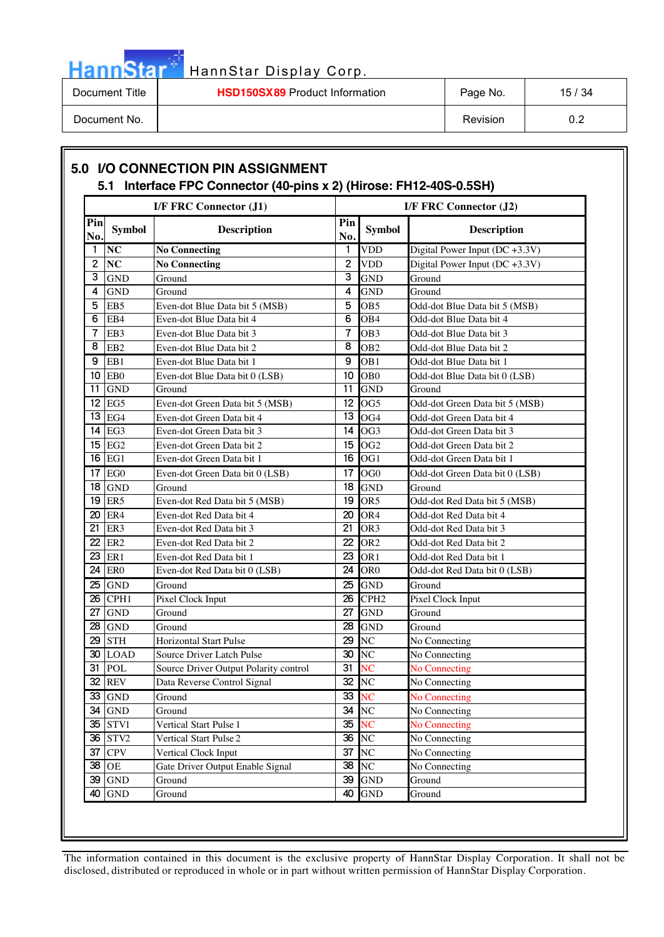# HannStar<sup>th</sup> HannStar Display Corp.

| Document Title | <b>HSD150SX89</b> Product Information | Page No. | 15/34 |
|----------------|---------------------------------------|----------|-------|
| Document No.   |                                       | Revision | ົ     |

|            |                 | <b>I/F FRC Connector (J1)</b>         |                 |                        | <b>I/F FRC Connector (J2)</b>    |
|------------|-----------------|---------------------------------------|-----------------|------------------------|----------------------------------|
| Pin<br>No. | <b>Symbol</b>   | <b>Description</b>                    | Pin<br>No.      | <b>Symbol</b>          | <b>Description</b>               |
| 1.         | NC              | <b>No Connecting</b>                  | 1               | <b>VDD</b>             | Digital Power Input $(DC +3.3V)$ |
| 2          | NC              | <b>No Connecting</b>                  | $\overline{2}$  | <b>VDD</b>             | Digital Power Input (DC +3.3V)   |
| 3          | <b>GND</b>      | Ground                                | 3               | <b>GND</b>             | Ground                           |
| 4          | <b>GND</b>      | Ground                                | 4               | <b>GND</b>             | Ground                           |
| 5          | EB <sub>5</sub> | Even-dot Blue Data bit 5 (MSB)        | 5               | OB <sub>5</sub>        | Odd-dot Blue Data bit 5 (MSB)    |
| 6          | EB4             | Even-dot Blue Data bit 4              | 6               | OB <sub>4</sub>        | Odd-dot Blue Data bit 4          |
| 7          | EB3             | Even-dot Blue Data bit 3              | $\overline{7}$  | OB <sub>3</sub>        | Odd-dot Blue Data bit 3          |
| 8          | EB <sub>2</sub> | Even-dot Blue Data bit 2              | 8               | OB <sub>2</sub>        | Odd-dot Blue Data bit 2          |
| 9          | EB1             | Even-dot Blue Data bit 1              | 9               | OB <sub>1</sub>        | Odd-dot Blue Data bit 1          |
| 10         | EB <sub>0</sub> | Even-dot Blue Data bit 0 (LSB)        | 10              | OB <sub>0</sub>        | Odd-dot Blue Data bit 0 (LSB)    |
| 11         | <b>GND</b>      | Ground                                | 11              | <b>GND</b>             | Ground                           |
| 12         | EG5             | Even-dot Green Data bit 5 (MSB)       | 12              | OG <sub>5</sub>        | Odd-dot Green Data bit 5 (MSB)   |
| 13         | EG4             | Even-dot Green Data bit 4             | 13              | OG4                    | Odd-dot Green Data bit 4         |
| 14         | EG3             | Even-dot Green Data bit 3             | 14              | OG <sub>3</sub>        | Odd-dot Green Data bit 3         |
| 15         | EG <sub>2</sub> | Even-dot Green Data bit 2             | 15              | OG <sub>2</sub>        | Odd-dot Green Data bit 2         |
| 16         | EG1             | Even-dot Green Data bit 1             | 16              | OG <sub>1</sub>        | Odd-dot Green Data bit 1         |
| 17         | EG <sub>0</sub> | Even-dot Green Data bit 0 (LSB)       | 17              | OG <sub>0</sub>        | Odd-dot Green Data bit 0 (LSB)   |
| 18         | <b>GND</b>      | Ground                                | 18              | <b>GND</b>             | Ground                           |
| 19         | ER <sub>5</sub> | Even-dot Red Data bit 5 (MSB)         | 19              | OR <sub>5</sub>        | Odd-dot Red Data bit 5 (MSB)     |
| 20         | ER4             | Even-dot Red Data bit 4               | 20              | OR4                    | Odd-dot Red Data bit 4           |
| 21         | ER3             | Even-dot Red Data bit 3               | 21              | OR <sub>3</sub>        | Odd-dot Red Data bit 3           |
| 22         | ER <sub>2</sub> | Even-dot Red Data bit 2               | 22              | OR <sub>2</sub>        | Odd-dot Red Data bit 2           |
| 23         | ER1             | Even-dot Red Data bit 1               | 23              | OR <sub>1</sub>        | Odd-dot Red Data bit 1           |
| 24         | ER <sub>0</sub> | Even-dot Red Data bit 0 (LSB)         | 24              | OR <sub>0</sub>        | Odd-dot Red Data bit 0 (LSB)     |
| 25         | <b>GND</b>      | Ground                                | 25              | <b>GND</b>             | Ground                           |
| 26         | CPH1            | Pixel Clock Input                     | 26              | CPH <sub>2</sub>       | Pixel Clock Input                |
| 27         | <b>GND</b>      | Ground                                | 27              | <b>GND</b>             | Ground                           |
| 28         | <b>GND</b>      | Ground                                | 28              | <b>GND</b>             | Ground                           |
| 29         | <b>STH</b>      | <b>Horizontal Start Pulse</b>         | 29              | N <sub>C</sub>         | No Connecting                    |
| 30         | <b>LOAD</b>     | Source Driver Latch Pulse             | 30              | NC                     | No Connecting                    |
|            | 31 POL          | Source Driver Output Polarity control | 31              | NC                     | No Connecting                    |
| 32         | <b>REV</b>      | Data Reverse Control Signal           | 32              | $\overline{\text{NC}}$ | No Connecting                    |
|            | 33 GND          | Ground                                | $\overline{33}$ | <b>NC</b>              | No Connecting                    |
|            | 34 GND          | Ground                                | 34              | N <sub>C</sub>         | No Connecting                    |
| 35         | STV1            | Vertical Start Pulse 1                | 35              | <b>NC</b>              | No Connecting                    |
| 36         | STV2            | Vertical Start Pulse 2                | $\overline{36}$ | N <sub>C</sub>         | No Connecting                    |
| 37         | <b>CPV</b>      | Vertical Clock Input                  | 37              | NC                     | No Connecting                    |
| 38         | <b>OE</b>       | Gate Driver Output Enable Signal      | 38              | N <sub>C</sub>         | No Connecting                    |
| 39         | <b>GND</b>      | Ground                                | 39              | <b>GND</b>             | Ground                           |
| 40         | <b>GND</b>      | Ground                                | 40              | <b>GND</b>             | Ground                           |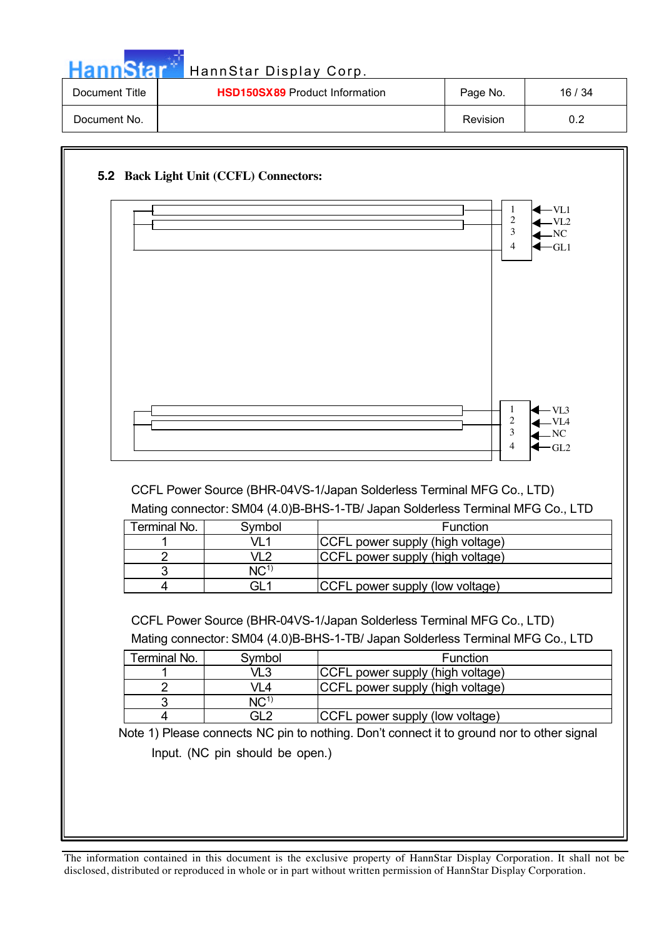| <b>HannStar</b>                                         | HannStar Display Corp. |          |       |
|---------------------------------------------------------|------------------------|----------|-------|
| <b>HSD150SX89</b> Product Information<br>Document Title |                        | Page No. | 16/34 |
| Document No.                                            |                        | Revision | 0.2   |

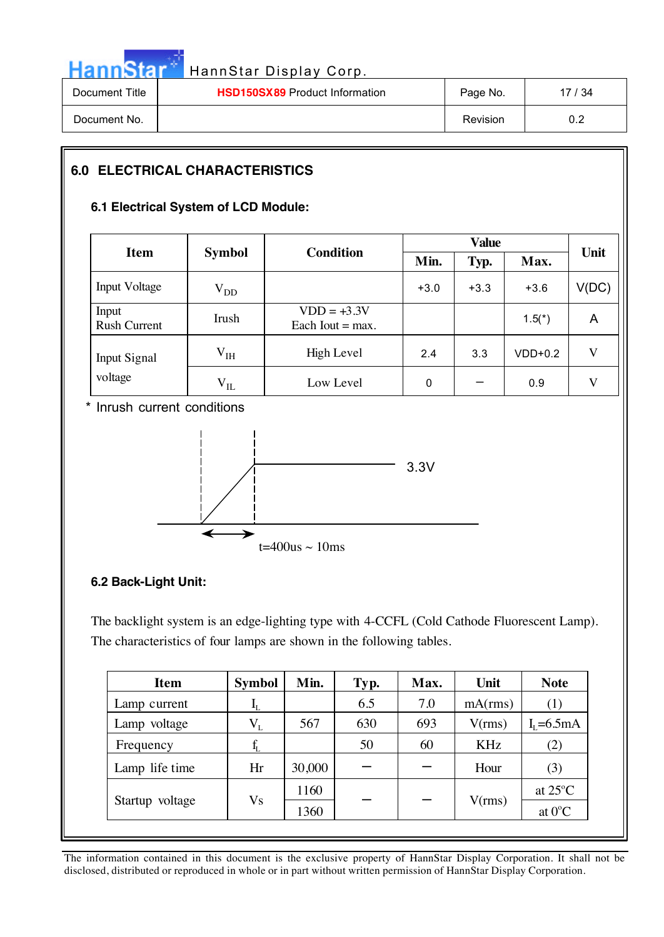

| Document Title | <b>HSD150SX89</b> Product Information | Page No.        | 17 / 34 |
|----------------|---------------------------------------|-----------------|---------|
| Document No.   |                                       | <b>Revision</b> | 0.2     |

### **6.0 ELECTRICAL CHARACTERISTICS**

#### **6.1 Electrical System of LCD Module:**

|                              |                                   |                                     |        | Unit   |           |       |  |
|------------------------------|-----------------------------------|-------------------------------------|--------|--------|-----------|-------|--|
| <b>Item</b>                  | <b>Condition</b><br><b>Symbol</b> |                                     | Min.   | Typ.   | Max.      |       |  |
| <b>Input Voltage</b>         | $V_{DD}$                          |                                     | $+3.0$ | $+3.3$ | $+3.6$    | V(DC) |  |
| Input<br><b>Rush Current</b> | Irush                             | $VDD = +3.3V$<br>Each Iout $=$ max. |        |        | $1.5(*)$  | A     |  |
| <b>Input Signal</b>          | V <sub>IH</sub>                   | High Level                          | 2.4    | 3.3    | $VDD+0.2$ | V     |  |
| voltage                      | $\rm V_{IL}$                      | Low Level                           | 0      |        | 0.9       | V     |  |

\* Inrush current conditions



### **6.2 Back-Light Unit:**

 $\overline{\phantom{a}}$ 

The backlight system is an edge-lighting type with 4-CCFL (Cold Cathode Fluorescent Lamp). The characteristics of four lamps are shown in the following tables.

| <b>Item</b>     | <b>Symbol</b>             | Min.   | Typ. | Max. | Unit       | <b>Note</b>       |
|-----------------|---------------------------|--------|------|------|------------|-------------------|
| Lamp current    | $\mathbf{I}_{\mathrm{L}}$ |        | 6.5  | 7.0  | mA(rms)    | (1)               |
| Lamp voltage    | $\rm V_{L}$               | 567    | 630  | 693  | V(rms)     | $I_{I}$ =6.5mA    |
| Frequency       |                           |        | 50   | 60   | <b>KHz</b> | (2)               |
| Lamp life time  | Hr                        | 30,000 |      |      | Hour       | (3)               |
|                 |                           | 1160   |      |      |            | at $25^{\circ}$ C |
| Startup voltage | Vs                        | 1360   |      |      | V(rms)     | at $0^{\circ}$ C  |
|                 |                           |        |      |      |            |                   |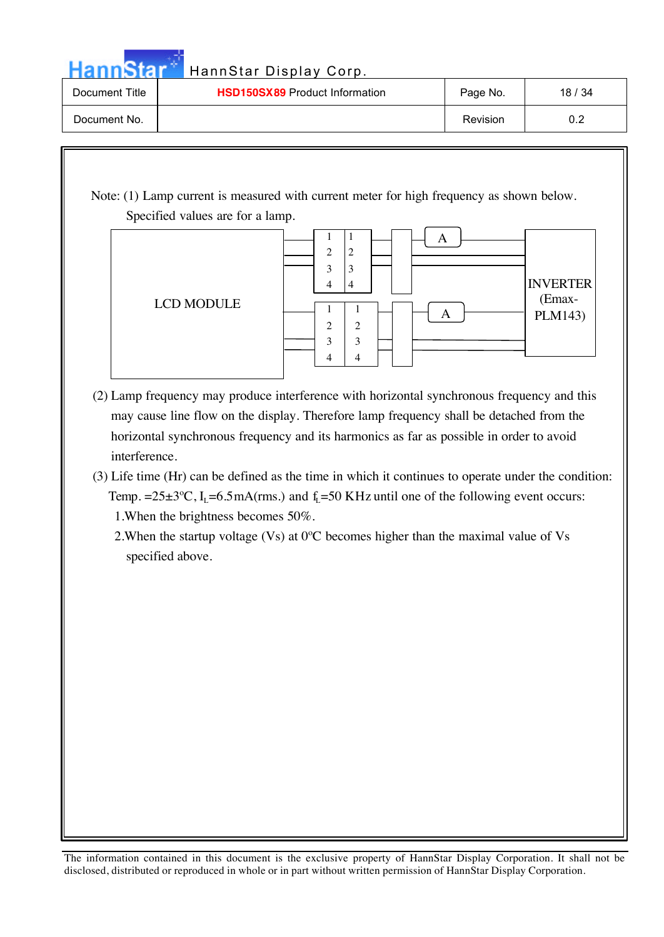Hann Star<sup>t HannStar Display Corp.</sup>

| Document Title | <b>HSD150SX89</b> Product Information | Page No. | 18/34 |
|----------------|---------------------------------------|----------|-------|
| Document No.   |                                       | Revision | ◡.∠   |

 Note: (1) Lamp current is measured with current meter for high frequency as shown below. Specified values are for a lamp.



- (2) Lamp frequency may produce interference with horizontal synchronous frequency and this may cause line flow on the display. Therefore lamp frequency shall be detached from the horizontal synchronous frequency and its harmonics as far as possible in order to avoid interference.
- (3) Life time (Hr) can be defined as the time in which it continues to operate under the condition: Temp. = $25\pm3$ °C, I<sub>L</sub>=6.5mA(rms.) and f<sub>L</sub>=50 KHz until one of the following event occurs: 1.When the brightness becomes 50%.

2.When the startup voltage (Vs) at 0ºC becomes higher than the maximal value of Vs specified above.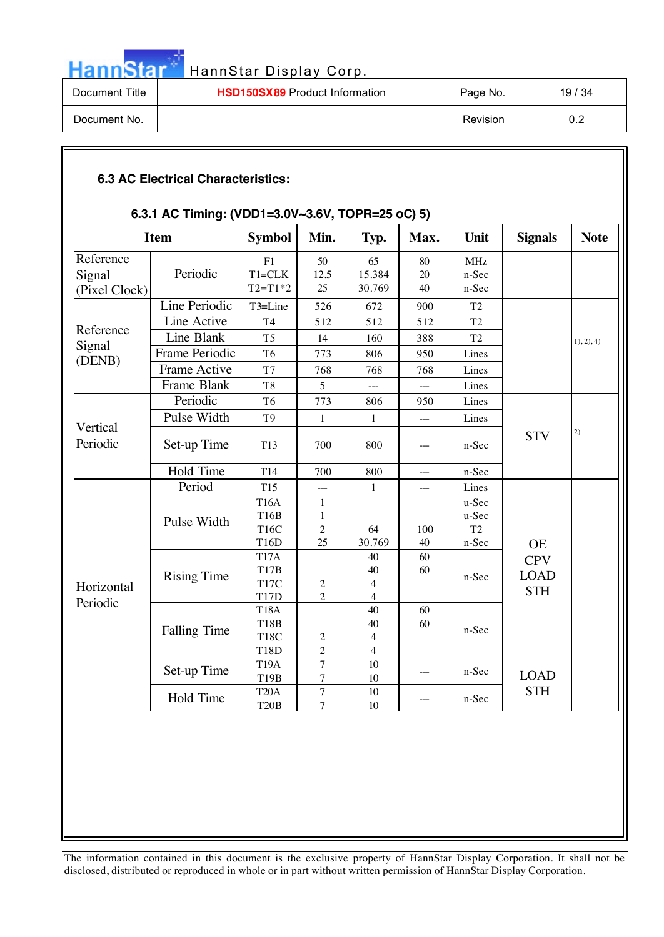

| Document Title | <b>HSD150SX89</b> Product Information | Page No. | 19/34 |
|----------------|---------------------------------------|----------|-------|
| Document No.   |                                       | Revision | ◡.∠   |

#### **6.3 AC Electrical Characteristics:**

#### **6.3.1 AC Timing: (VDD1=3.0V~3.6V, TOPR=25 oC) 5)**

| <b>Item</b>                          |                                | <b>Symbol</b>                                           | Min.                                      | Typ.                                                   | Max.                            | Unit                                      | <b>Signals</b>                          | <b>Note</b> |
|--------------------------------------|--------------------------------|---------------------------------------------------------|-------------------------------------------|--------------------------------------------------------|---------------------------------|-------------------------------------------|-----------------------------------------|-------------|
| Reference<br>Signal<br>(Pixel Clock) | Periodic                       | F1<br>$T1 = CLK$<br>$T2 = T1*2$                         | 50<br>12.5<br>25                          | 65<br>15.384<br>30.769                                 | 80<br>20<br>40                  | <b>MHz</b><br>n-Sec<br>n-Sec              |                                         |             |
|                                      | Line Periodic<br>Line Active   | T3=Line<br>T <sub>4</sub>                               | 526<br>512                                | 672<br>512                                             | 900<br>512                      | T <sub>2</sub><br>T <sub>2</sub>          |                                         |             |
| Reference<br>Signal                  | Line Blank                     | T <sub>5</sub>                                          | 14                                        | 160                                                    | 388                             | T <sub>2</sub>                            |                                         | 1), 2), 4)  |
| (DENB)                               | Frame Periodic<br>Frame Active | T <sub>6</sub><br>T7                                    | 773<br>768                                | 806<br>768                                             | 950<br>768                      | Lines<br>Lines                            |                                         |             |
|                                      | Frame Blank                    | T <sub>8</sub>                                          | 5                                         |                                                        | $---$                           | Lines                                     |                                         |             |
|                                      | Periodic<br>Pulse Width        | T <sub>6</sub><br>T <sub>9</sub>                        | 773<br>$\mathbf{1}$                       | 806<br>$\mathbf{1}$                                    | 950<br>$\overline{\phantom{a}}$ | Lines<br>Lines                            |                                         |             |
| Vertical<br>Periodic                 | Set-up Time                    | T <sub>13</sub>                                         | 700                                       | 800                                                    | ---                             | n-Sec                                     | <b>STV</b>                              | 2)          |
|                                      | Hold Time                      | T <sub>14</sub>                                         | 700                                       | 800                                                    | $\overline{a}$                  | n-Sec                                     |                                         |             |
|                                      | Period                         | <b>T15</b>                                              |                                           | $\mathbf{1}$                                           |                                 | Lines                                     |                                         |             |
|                                      | Pulse Width                    | <b>T16A</b><br><b>T16B</b><br>T16C<br>T16D              | $\mathbf{1}$<br>1<br>$\overline{c}$<br>25 | 64<br>30.769                                           | 100<br>$40\,$                   | u-Sec<br>u-Sec<br>T <sub>2</sub><br>n-Sec | <b>OE</b>                               |             |
| Horizontal                           | <b>Rising Time</b>             | <b>T17A</b><br>T17B<br>T <sub>17</sub> C<br><b>T17D</b> | $\frac{2}{2}$                             | 40<br>40<br>$\overline{\mathcal{L}}$<br>$\overline{4}$ | 60<br>60                        | n-Sec                                     | <b>CPV</b><br><b>LOAD</b><br><b>STH</b> |             |
| Periodic                             | <b>Falling Time</b>            | <b>T18A</b><br><b>T18B</b><br><b>T18C</b><br>T18D       | $\overline{c}$<br>$\overline{c}$          | 40<br>40<br>$\overline{\mathcal{L}}$<br>$\overline{4}$ | 60<br>60                        | n-Sec                                     |                                         |             |
|                                      | Set-up Time                    | <b>T19A</b><br>T19B                                     | $\overline{7}$<br>$\overline{7}$          | 10<br>10                                               |                                 | n-Sec                                     | <b>LOAD</b>                             |             |
|                                      | Hold Time                      | T <sub>20</sub> A<br><b>T20B</b>                        | $\overline{7}$<br>$\tau$                  | 10<br>10                                               | $---$                           | n-Sec                                     | <b>STH</b>                              |             |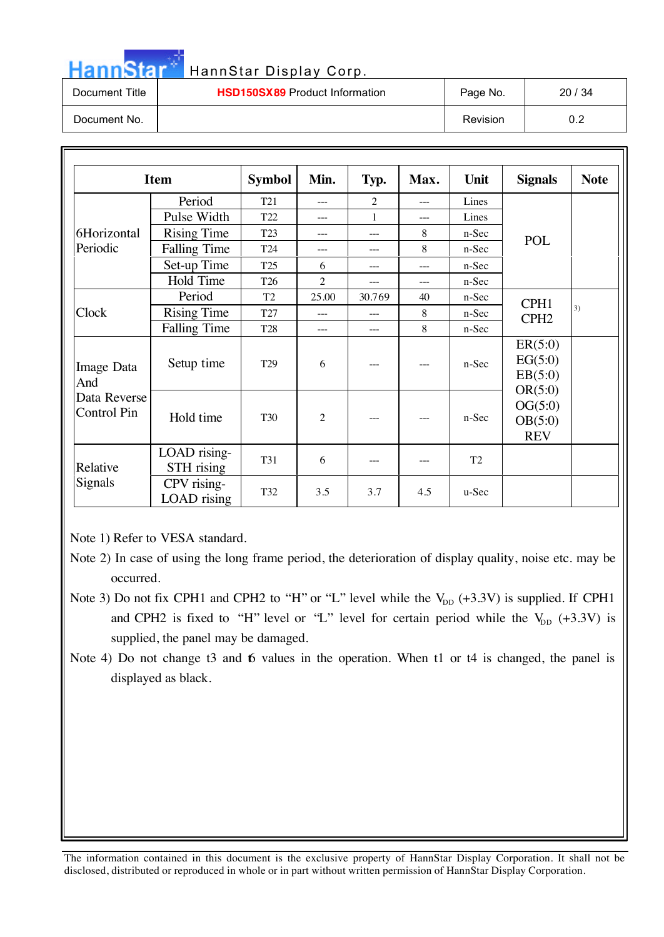|  |  |  | HannStar * |
|--|--|--|------------|
|  |  |  |            |
|  |  |  |            |

### HannStar Display Corp.

| Document Title | <b>HSD150SX89</b> Product Information | Page No.        | 20/34 |
|----------------|---------------------------------------|-----------------|-------|
| Document No.   |                                       | <b>Revision</b> | 0.2   |

|                                    | <b>Item</b>                | <b>Symbol</b>   | Min.           | Typ.           | Max.  | Unit    | <b>Signals</b>                              | <b>Note</b> |
|------------------------------------|----------------------------|-----------------|----------------|----------------|-------|---------|---------------------------------------------|-------------|
|                                    | Period                     | T <sub>21</sub> | ---            | $\overline{2}$ | $---$ | Lines   |                                             |             |
|                                    | Pulse Width                | T22             | $---$          | $\mathbf{1}$   | $---$ | Lines   |                                             |             |
| 6Horizontal                        | <b>Rising Time</b>         | T <sub>23</sub> | $---$          | ---            | 8     | n-Sec   | <b>POL</b>                                  |             |
| Periodic                           | <b>Falling Time</b>        | T24             | ---            | ---            | 8     | n-Sec   |                                             |             |
|                                    | Set-up Time                | T <sub>25</sub> | 6              | $---$          | $---$ | $n-Sec$ |                                             |             |
|                                    | Hold Time                  | T <sub>26</sub> | $\overline{c}$ | $---$          | $---$ | n-Sec   |                                             |             |
|                                    | Period                     | T <sub>2</sub>  | 25.00          | 30.769         | 40    | n-Sec   | CPH1                                        |             |
| Clock                              | <b>Rising Time</b>         | T27             | $---$          | $---$          | 8     | $n-Sec$ | CPH <sub>2</sub>                            | 3)          |
|                                    | <b>Falling Time</b>        | T <sub>28</sub> | $---$          | $---$          | 8     | n-Sec   |                                             |             |
| Image Data<br>And                  | Setup time                 | T <sub>29</sub> | 6              |                |       | n-Sec   | ER(5:0)<br>EG(5:0)<br>EB(5:0)               |             |
| Data Reverse<br><b>Control Pin</b> | Hold time                  | <b>T30</b>      | 2              |                |       | $n-Sec$ | OR(5:0)<br>OG(5:0)<br>OB(5:0)<br><b>REV</b> |             |
| Relative<br>Signals                | LOAD rising-<br>STH rising | <b>T31</b>      | 6              | ---            |       | T2      |                                             |             |
|                                    | CPV rising-<br>LOAD rising | T32             | 3.5            | 3.7            | 4.5   | $u-Sec$ |                                             |             |

Note 1) Refer to VESA standard.

- Note 3) Do not fix CPH1 and CPH2 to "H" or "L" level while the  $V_{DD}$  (+3.3V) is supplied. If CPH1 and CPH2 is fixed to "H" level or "L" level for certain period while the  $V_{DD}$  (+3.3V) is supplied, the panel may be damaged.
- Note 4) Do not change t3 and 6 values in the operation. When t1 or t4 is changed, the panel is displayed as black.

Note 2) In case of using the long frame period, the deterioration of display quality, noise etc. may be occurred.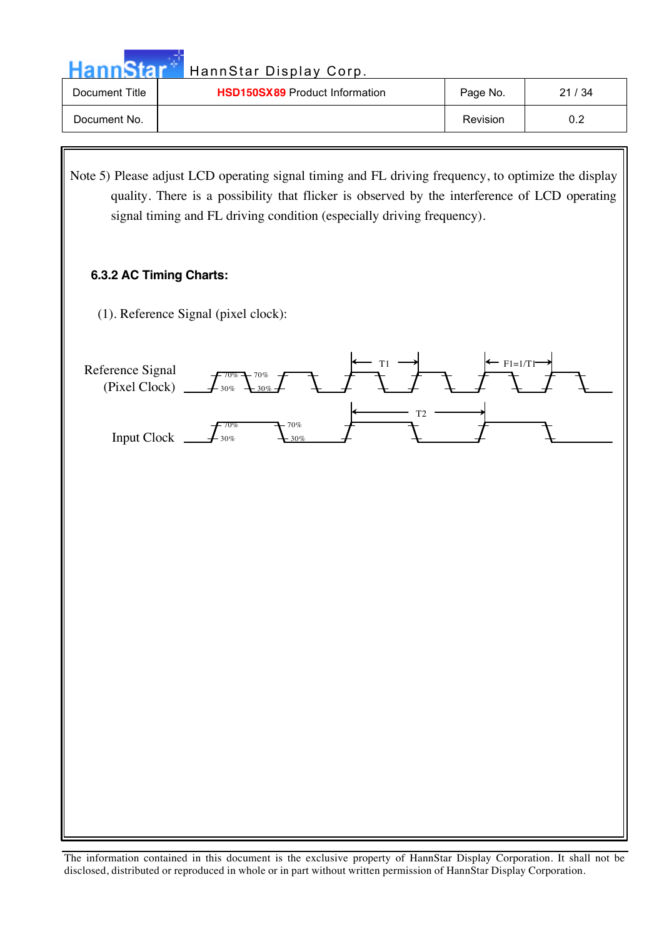| HannStar Display Corp. |  |
|------------------------|--|
|                        |  |

| <b>HannStar</b> | HannStar Display Corp.                |          |       |
|-----------------|---------------------------------------|----------|-------|
| Document Title  | <b>HSD150SX89 Product Information</b> | Page No. | 21/34 |
| Document No.    |                                       | Revision | 0.2   |

Note 5) Please adjust LCD operating signal timing and FL driving frequency, to optimize the display quality. There is a possibility that flicker is observed by the interference of LCD operating signal timing and FL driving condition (especially driving frequency).

#### **6.3.2 AC Timing Charts:**

(1). Reference Signal (pixel clock):

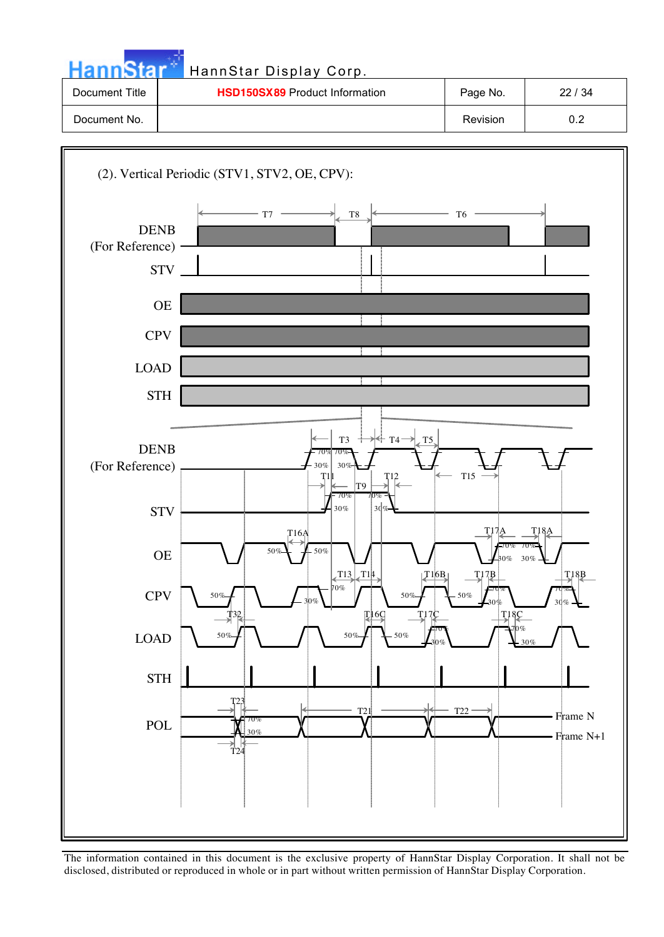| nnStar          | HannStar Display Corp.                              |                                  |                   |
|-----------------|-----------------------------------------------------|----------------------------------|-------------------|
| Document Title  | HSD150SX89 Product Information                      | Page No.                         | 22 / 34           |
| Document No.    |                                                     | Revision                         | 0.2               |
|                 |                                                     |                                  |                   |
|                 | (2). Vertical Periodic (STV1, STV2, OE, CPV):       |                                  |                   |
|                 |                                                     |                                  |                   |
| <b>DENB</b>     | $- T7$<br>$\rm{T}8$                                 | T <sub>6</sub>                   |                   |
| (For Reference) |                                                     |                                  |                   |
|                 | <b>STV</b>                                          |                                  |                   |
|                 | $OE$                                                |                                  |                   |
|                 | <b>CPV</b>                                          |                                  |                   |
|                 |                                                     |                                  |                   |
| <b>LOAD</b>     |                                                     |                                  |                   |
|                 | $\operatorname{STH}$                                |                                  |                   |
|                 | T <sub>3</sub><br>T4                                | T <sub>5</sub>                   |                   |
| <b>DENB</b>     | 70%<br>30%<br>30%                                   |                                  |                   |
| (For Reference) | T1<br>T12<br>T <sub>9</sub>                         | <b>T15</b>                       |                   |
|                 | 70%<br>30%<br>30%<br><b>STV</b>                     |                                  |                   |
|                 | T16A                                                | T17A                             | T <sub>18</sub> A |
|                 | 50%<br>.50%<br>$OE$                                 | $\frac{1}{2}$ 30% $\frac{1}{2}$  |                   |
|                 | $TT13$ $T14$<br>70%<br>CPV<br>50%<br>50%            | T16B<br>$I^{17}B$<br>$-50%$      | $I^{18}$          |
|                 | 30%<br>鸫<br>$\mathbb{Z}$ <sup>16</sup> $\mathbb{Q}$ | I <sup>18</sup> C<br><b>T17C</b> | 30%               |
| $\rm LOAD$      | $50\%$<br>50%<br>$50\%$                             | -70%<br>30%                      |                   |
|                 |                                                     |                                  |                   |
|                 | $\operatorname{STH}$<br>T23                         |                                  |                   |
|                 | T21<br>70%<br>$\operatorname{POL}$                  | T <sub>22</sub>                  | • Frame N         |
|                 | 30%<br>T <sub>24</sub>                              |                                  | Frame N+1         |
|                 |                                                     |                                  |                   |

a a martir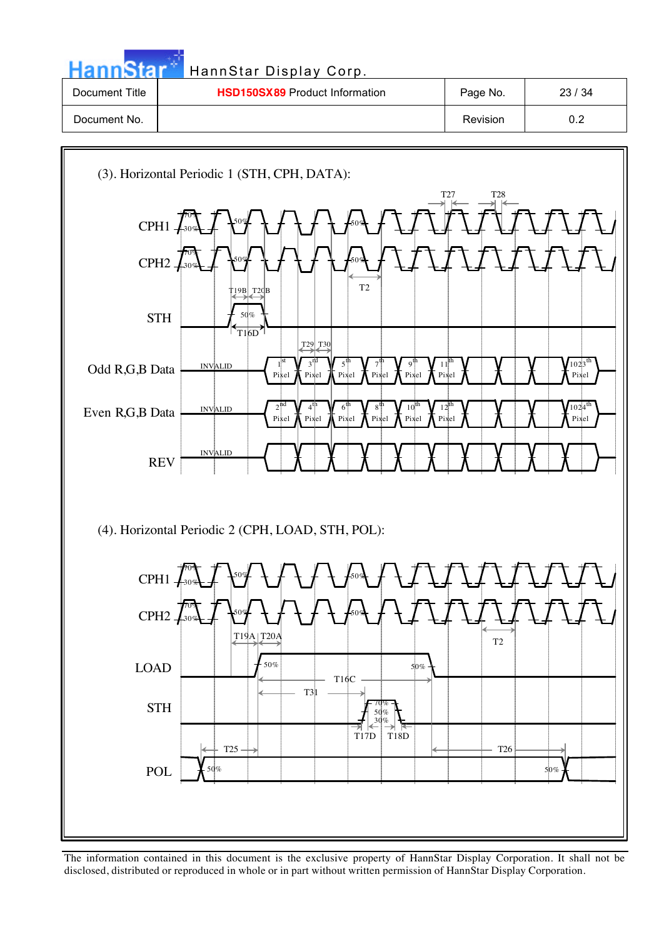| <b>HannStar</b> | HannStar Display Corp.                |          |       |
|-----------------|---------------------------------------|----------|-------|
| Document Title  | <b>HSD150SX89 Product Information</b> | Page No. | 23/34 |
| Document No.    |                                       | Revision | 0.2   |

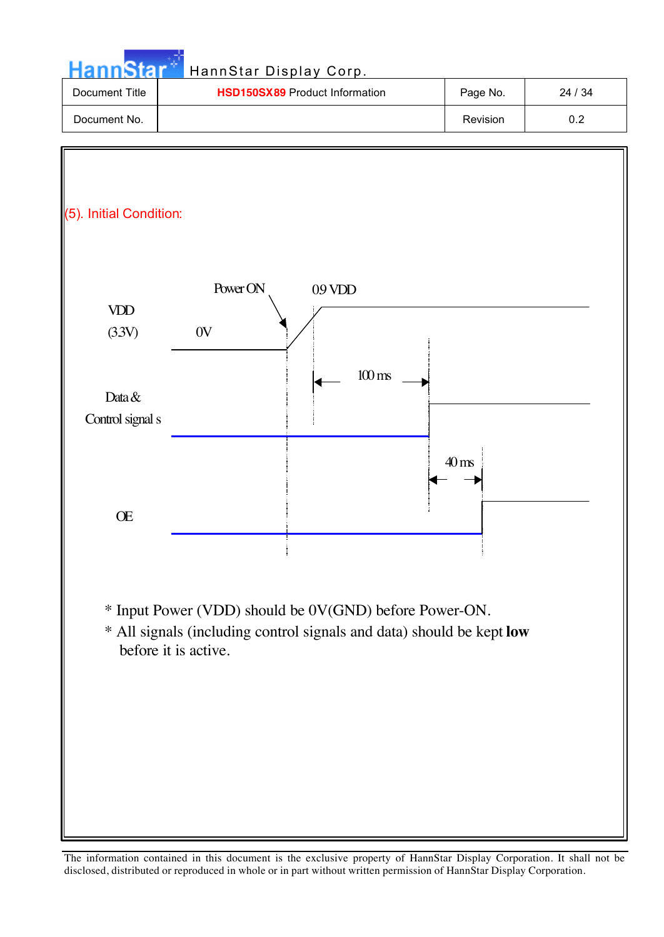| nnStar                     | HannStar Display Corp.                                                                                                                                  |                    |         |
|----------------------------|---------------------------------------------------------------------------------------------------------------------------------------------------------|--------------------|---------|
| Document Title             | HSD150SX89 Product Information                                                                                                                          | Page No.           | 24 / 34 |
| Document No.               |                                                                                                                                                         | Revision           | 0.2     |
| (5). Initial Condition:    |                                                                                                                                                         |                    |         |
| VDD<br>(33V)               | Power ON<br>09 VDD<br>0V<br>$100 \text{ ms}$                                                                                                            |                    |         |
| Data &<br>Control signal s |                                                                                                                                                         |                    |         |
| Œ                          |                                                                                                                                                         | $40 \,\mathrm{ms}$ |         |
|                            | * Input Power (VDD) should be 0V(GND) before Power-ON.<br>* All signals (including control signals and data) should be kept low<br>before it is active. |                    |         |
|                            |                                                                                                                                                         |                    |         |

مارچ<br>موجود است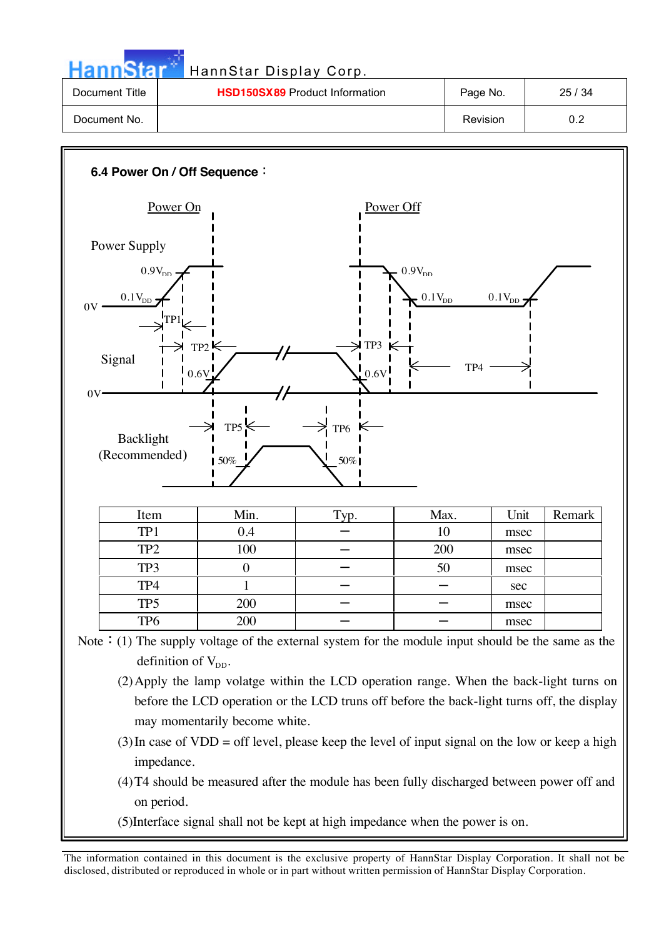| HannStar Display Corp. |  |
|------------------------|--|
|                        |  |

| <b>HannStar</b> | HannStar Display Corp.                |                 |       |
|-----------------|---------------------------------------|-----------------|-------|
| Document Title  | <b>HSD150SX89</b> Product Information | Page No.        | 25/34 |
| Document No.    |                                       | <b>Revision</b> | 0.2   |



Note: (1) The supply voltage of the external system for the module input should be the same as the definition of  $V_{DD}$ .

- (2)Apply the lamp volatge within the LCD operation range. When the back-light turns on before the LCD operation or the LCD truns off before the back-light turns off, the display may momentarily become white.
- $(3)$ In case of VDD = off level, please keep the level of input signal on the low or keep a high impedance.
- (4)T4 should be measured after the module has been fully discharged between power off and on period.
- (5)Interface signal shall not be kept at high impedance when the power is on.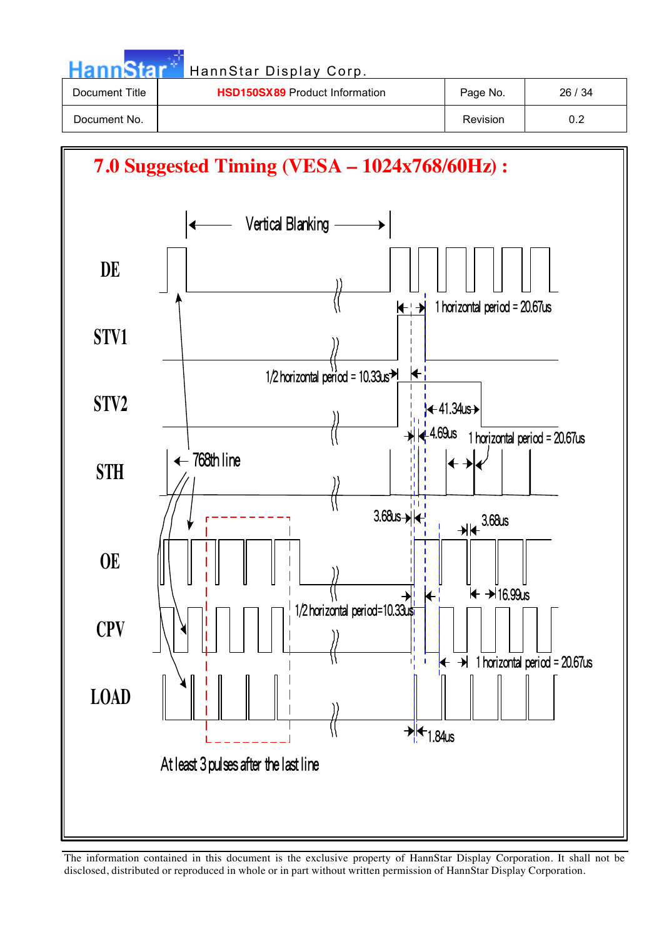| <b>HannStart</b> | HannStar Display Corp.                |          |       |
|------------------|---------------------------------------|----------|-------|
| Document Title   | <b>HSD150SX89 Product Information</b> | Page No. | 26/34 |
| Document No.     |                                       | Revision | 0.2   |

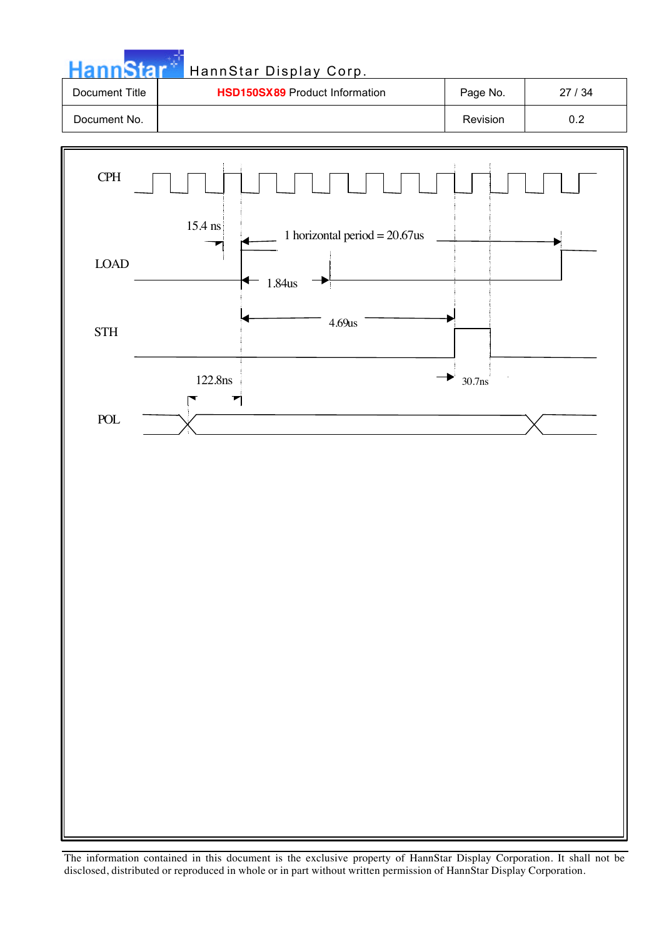

4.69us

 $\parallel$  30.7ns

1.84us

122.8ns

 $\blacktriangledown$ 

LOAD

**STH** 

POL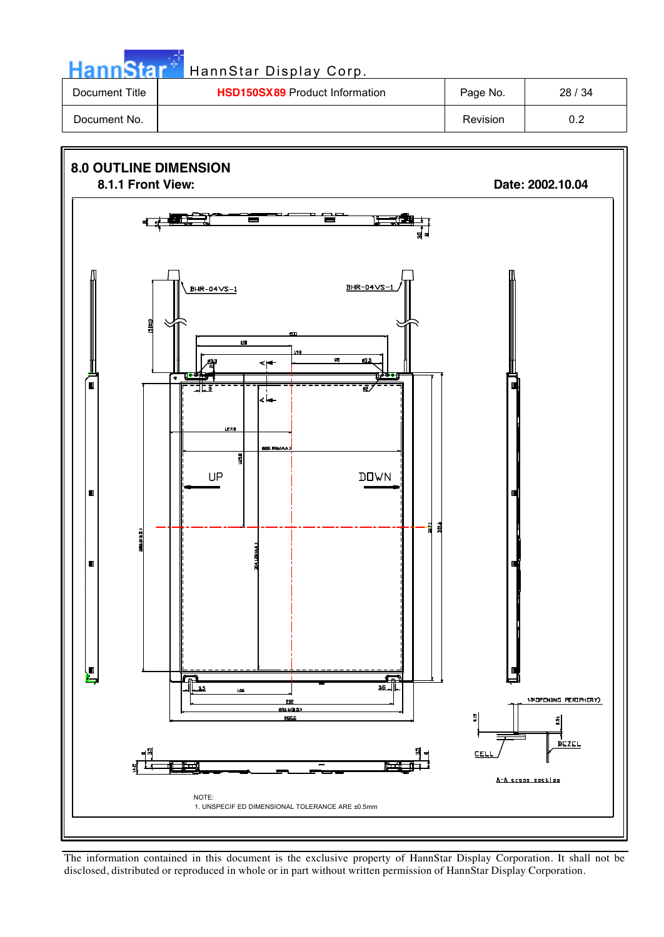| - | Hа |
|---|----|

## **Kar HannStar Display Corp.**

| Document Title | <b>HSD150SX89</b> Product Information | Page No. | 28/34     |
|----------------|---------------------------------------|----------|-----------|
| Document No.   |                                       | Revision | ົດ<br>◡.∠ |

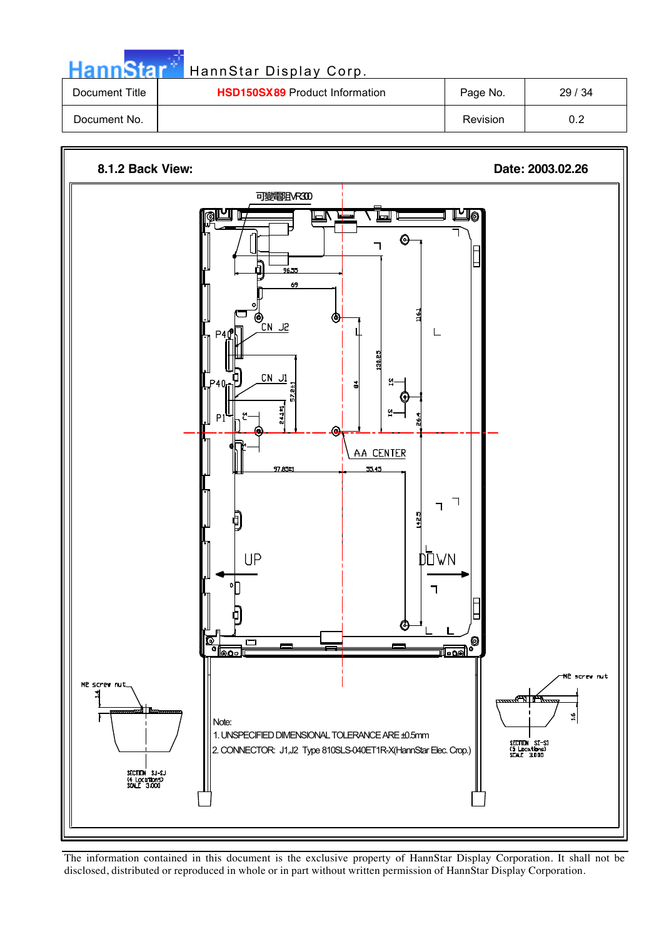| HannStar       | HannStar Display Corp.                |          |       |
|----------------|---------------------------------------|----------|-------|
| Document Title | <b>HSD150SX89</b> Product Information | Page No. | 29/34 |
| Document No.   |                                       | Revision | 0.2   |



The information contained in this document is the exclusive property of HannStar Display Corporation. It shall not be disclosed, distributed or reproduced in whole or in part without written permission of HannStar Display Corporation.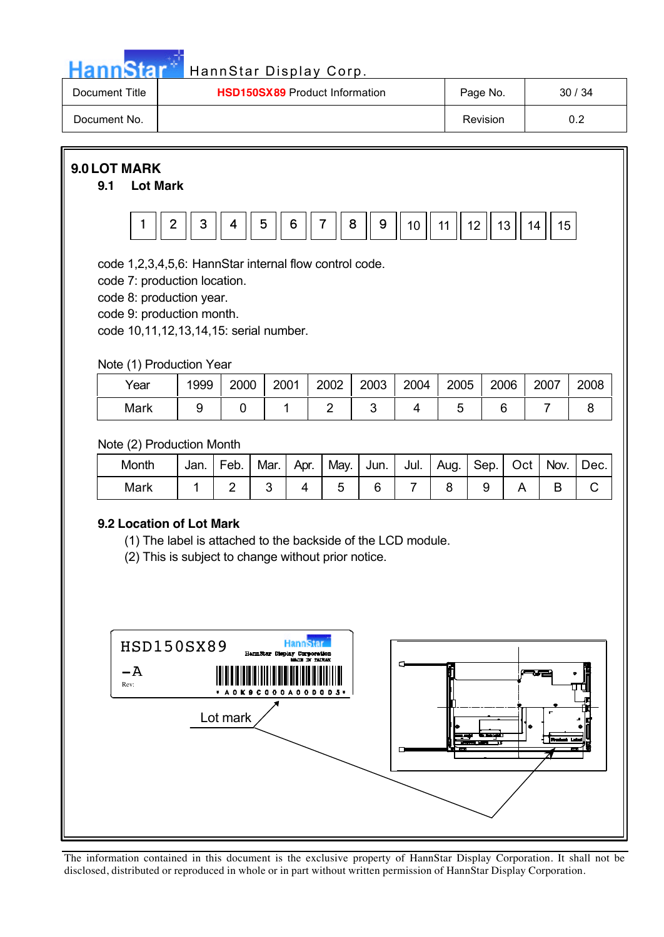

| Document Title | <b>HSD150SX89</b> Product Information | Page No. | 30/34 |
|----------------|---------------------------------------|----------|-------|
| Document No.   |                                       | Revision | ∪.∠   |

**9.0 LOT MARK**

**9.1 Lot Mark**



code 1,2,3,4,5,6: HannStar internal flow control code.

code 7: production location.

code 8: production year.

code 9: production month.

code 10,11,12,13,14,15: serial number.

Note (1) Production Year

| Year | 1999 | 2000 | 2001 | 2002 | 2003 | 2004 | 2005 | 2006 | 2007 | 2008 |
|------|------|------|------|------|------|------|------|------|------|------|
| Mark |      |      |      |      |      |      |      |      |      |      |

Note (2) Production Month

| Montl | Jan. | Feb. | Mar. | Apr. | May.   Jun.   Jul.   Aug. |  | Sep. | Oct | Nov. | Dec. |
|-------|------|------|------|------|---------------------------|--|------|-----|------|------|
| Mark  |      |      |      |      |                           |  |      |     |      |      |

#### **9.2 Location of Lot Mark**

(1) The label is attached to the backside of the LCD module.

(2) This is subject to change without prior notice.

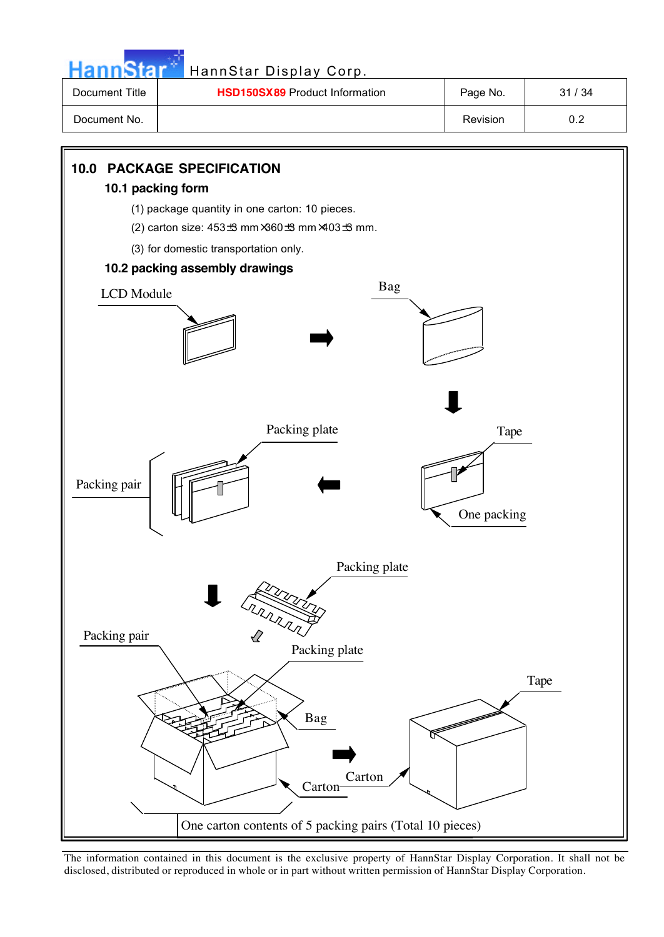| m |  |
|---|--|
|   |  |

### HannStar Display Corp.

| Document Title | <b>HSD150SX89</b> Product Information | Page No. | 31<br>/ 34 |
|----------------|---------------------------------------|----------|------------|
| Document No.   |                                       | Revision | ◡.∠        |

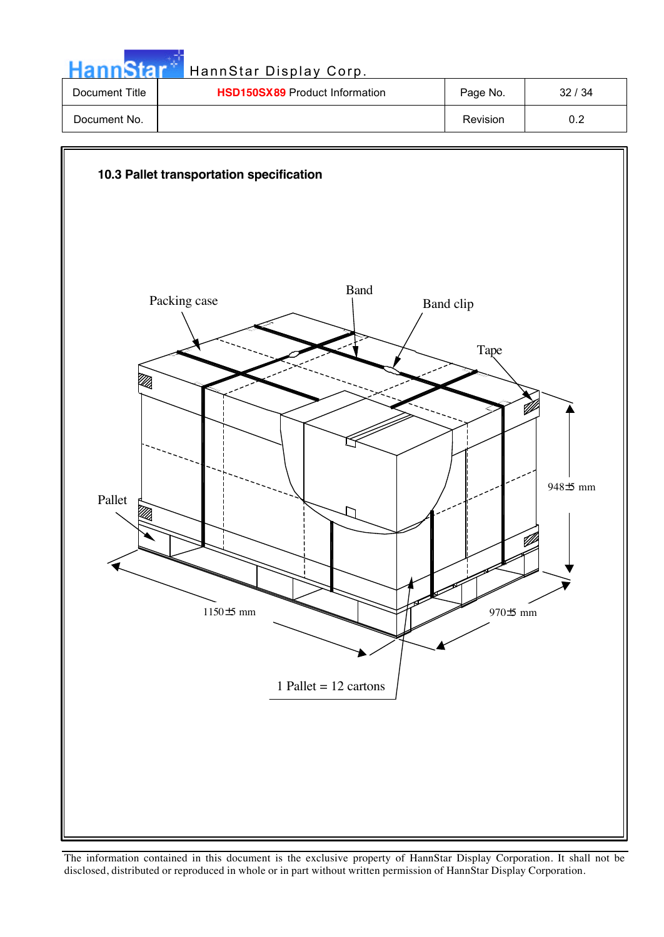| <b>HannStar</b> | HannStar Display Corp.                |          |       |
|-----------------|---------------------------------------|----------|-------|
| Document Title  | <b>HSD150SX89 Product Information</b> | Page No. | 32/34 |
| Document No.    |                                       | Revision | 0.2   |

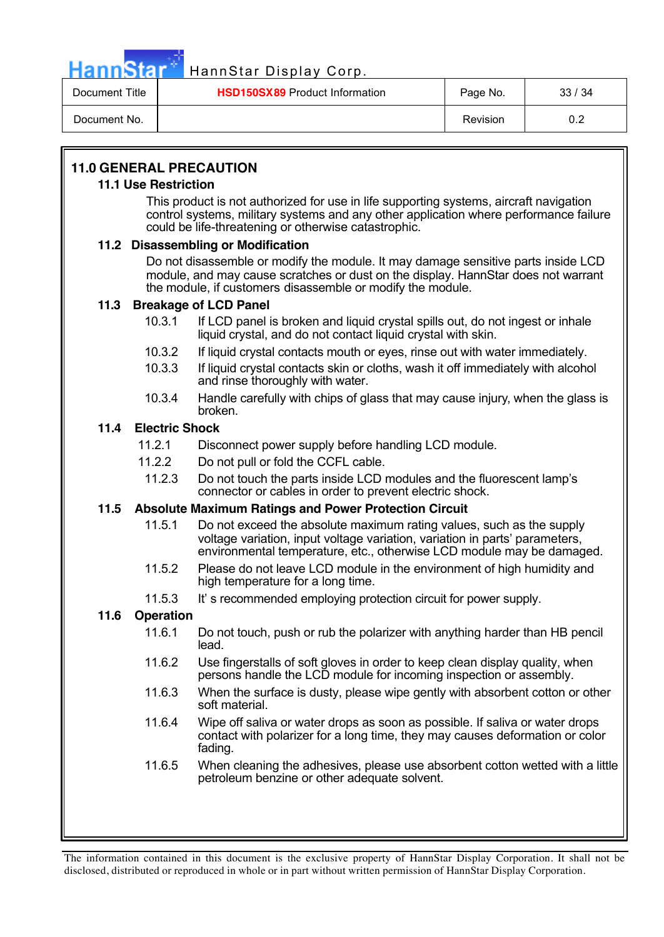

## HannStar<sup>®</sup> HannStar Display Corp.

| Document Title | <b>HSD150SX89</b> Product Information | Page No. | 33/34 |
|----------------|---------------------------------------|----------|-------|
| Document No.   |                                       | Revision | ∪.∠   |

### **11.0 GENERAL PRECAUTION**

#### **11.1 Use Restriction**

This product is not authorized for use in life supporting systems, aircraft navigation control systems, military systems and any other application where performance failure could be life-threatening or otherwise catastrophic.

#### **11.2 Disassembling or Modification**

Do not disassemble or modify the module. It may damage sensitive parts inside LCD module, and may cause scratches or dust on the display. HannStar does not warrant the module, if customers disassemble or modify the module.

#### **11.3 Breakage of LCD Panel**

- 10.3.1 If LCD panel is broken and liquid crystal spills out, do not ingest or inhale liquid crystal, and do not contact liquid crystal with skin.
- 10.3.2 If liquid crystal contacts mouth or eyes, rinse out with water immediately.
- 10.3.3 If liquid crystal contacts skin or cloths, wash it off immediately with alcohol and rinse thoroughly with water.
- 10.3.4 Handle carefully with chips of glass that may cause injury, when the glass is broken.

#### **11.4 Electric Shock**

- 11.2.1 Disconnect power supply before handling LCD module.
- 11.2.2 Do not pull or fold the CCFL cable.
	- 11.2.3 Do not touch the parts inside LCD modules and the fluorescent lamp's connector or cables in order to prevent electric shock.

#### **11.5 Absolute Maximum Ratings and Power Protection Circuit**

- 11.5.1 Do not exceed the absolute maximum rating values, such as the supply voltage variation, input voltage variation, variation in parts' parameters, environmental temperature, etc., otherwise LCD module may be damaged.
- 11.5.2 Please do not leave LCD module in the environment of high humidity and high temperature for a long time.
- 11.5.3 It' s recommended employing protection circuit for power supply.

#### **11.6 Operation**

- 11.6.1 Do not touch, push or rub the polarizer with anything harder than HB pencil lead.
- 11.6.2 Use fingerstalls of soft gloves in order to keep clean display quality, when persons handle the LCD module for incoming inspection or assembly.
- 11.6.3 When the surface is dusty, please wipe gently with absorbent cotton or other soft material.
- 11.6.4 Wipe off saliva or water drops as soon as possible. If saliva or water drops contact with polarizer for a long time, they may causes deformation or color fading.
- 11.6.5 When cleaning the adhesives, please use absorbent cotton wetted with a little petroleum benzine or other adequate solvent.